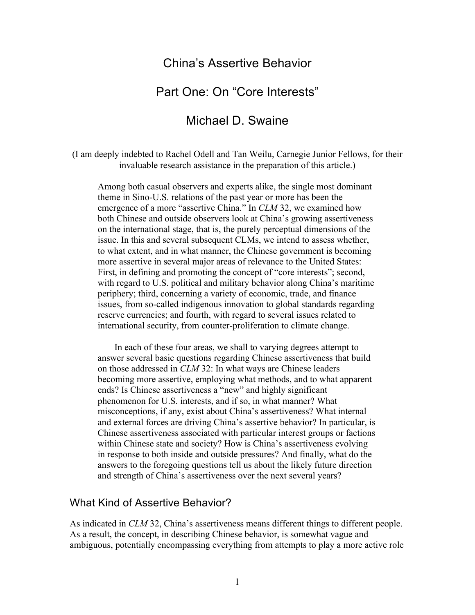# China's Assertive Behavior

# Part One: On "Core Interests"

# Michael D. Swaine

(I am deeply indebted to Rachel Odell and Tan Weilu, Carnegie Junior Fellows, for their invaluable research assistance in the preparation of this article.)

Among both casual observers and experts alike, the single most dominant theme in Sino-U.S. relations of the past year or more has been the emergence of a more "assertive China." In *CLM* 32, we examined how both Chinese and outside observers look at China's growing assertiveness on the international stage, that is, the purely perceptual dimensions of the issue. In this and several subsequent CLMs, we intend to assess whether, to what extent, and in what manner, the Chinese government is becoming more assertive in several major areas of relevance to the United States: First, in defining and promoting the concept of "core interests"; second, with regard to U.S. political and military behavior along China's maritime periphery; third, concerning a variety of economic, trade, and finance issues, from so-called indigenous innovation to global standards regarding reserve currencies; and fourth, with regard to several issues related to international security, from counter-proliferation to climate change.

In each of these four areas, we shall to varying degrees attempt to answer several basic questions regarding Chinese assertiveness that build on those addressed in *CLM* 32: In what ways are Chinese leaders becoming more assertive, employing what methods, and to what apparent ends? Is Chinese assertiveness a "new" and highly significant phenomenon for U.S. interests, and if so, in what manner? What misconceptions, if any, exist about China's assertiveness? What internal and external forces are driving China's assertive behavior? In particular, is Chinese assertiveness associated with particular interest groups or factions within Chinese state and society? How is China's assertiveness evolving in response to both inside and outside pressures? And finally, what do the answers to the foregoing questions tell us about the likely future direction and strength of China's assertiveness over the next several years?

#### What Kind of Assertive Behavior?

As indicated in *CLM* 32, China's assertiveness means different things to different people. As a result, the concept, in describing Chinese behavior, is somewhat vague and ambiguous, potentially encompassing everything from attempts to play a more active role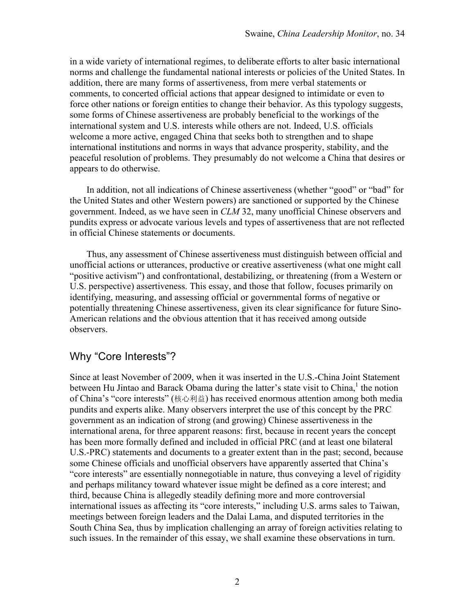in a wide variety of international regimes, to deliberate efforts to alter basic international norms and challenge the fundamental national interests or policies of the United States. In addition, there are many forms of assertiveness, from mere verbal statements or comments, to concerted official actions that appear designed to intimidate or even to force other nations or foreign entities to change their behavior. As this typology suggests, some forms of Chinese assertiveness are probably beneficial to the workings of the international system and U.S. interests while others are not. Indeed, U.S. officials welcome a more active, engaged China that seeks both to strengthen and to shape international institutions and norms in ways that advance prosperity, stability, and the peaceful resolution of problems. They presumably do not welcome a China that desires or appears to do otherwise.

In addition, not all indications of Chinese assertiveness (whether "good" or "bad" for the United States and other Western powers) are sanctioned or supported by the Chinese government. Indeed, as we have seen in *CLM* 32, many unofficial Chinese observers and pundits express or advocate various levels and types of assertiveness that are not reflected in official Chinese statements or documents.

Thus, any assessment of Chinese assertiveness must distinguish between official and unofficial actions or utterances, productive or creative assertiveness (what one might call "positive activism") and confrontational, destabilizing, or threatening (from a Western or U.S. perspective) assertiveness. This essay, and those that follow, focuses primarily on identifying, measuring, and assessing official or governmental forms of negative or potentially threatening Chinese assertiveness, given its clear significance for future Sino-American relations and the obvious attention that it has received among outside observers.

## Why "Core Interests"?

Since at least November of 2009, when it was inserted in the U.S.-China Joint Statement between Hu Jintao and Barack Obama during the latter's state visit to China, the notion of China's "core interests" (核心利益) has received enormous attention among both media pundits and experts alike. Many observers interpret the use of this concept by the PRC government as an indication of strong (and growing) Chinese assertiveness in the international arena, for three apparent reasons: first, because in recent years the concept has been more formally defined and included in official PRC (and at least one bilateral U.S.-PRC) statements and documents to a greater extent than in the past; second, because some Chinese officials and unofficial observers have apparently asserted that China's "core interests" are essentially nonnegotiable in nature, thus conveying a level of rigidity and perhaps militancy toward whatever issue might be defined as a core interest; and third, because China is allegedly steadily defining more and more controversial international issues as affecting its "core interests," including U.S. arms sales to Taiwan, meetings between foreign leaders and the Dalai Lama, and disputed territories in the South China Sea, thus by implication challenging an array of foreign activities relating to such issues. In the remainder of this essay, we shall examine these observations in turn.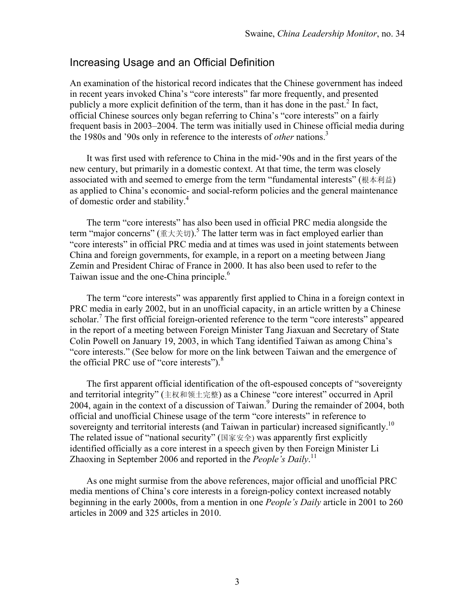## Increasing Usage and an Official Definition

An examination of the historical record indicates that the Chinese government has indeed in recent years invoked China's "core interests" far more frequently, and presented publicly a more explicit definition of the term, than it has done in the past.<sup>2</sup> In fact, official Chinese sources only began referring to China's "core interests" on a fairly frequent basis in 2003–2004. The term was initially used in Chinese official media during the 1980s and '90s only in reference to the interests of *other* nations.<sup>3</sup>

It was first used with reference to China in the mid-'90s and in the first years of the new century, but primarily in a domestic context. At that time, the term was closely associated with and seemed to emerge from the term "fundamental interests" (根本利益) as applied to China's economic- and social-reform policies and the general maintenance of domestic order and stability.4

The term "core interests" has also been used in official PRC media alongside the term "major concerns" ( $\mathbb{I}$ ). The latter term was in fact employed earlier than "core interests" in official PRC media and at times was used in joint statements between China and foreign governments, for example, in a report on a meeting between Jiang Zemin and President Chirac of France in 2000. It has also been used to refer to the Taiwan issue and the one-China principle.<sup>6</sup>

The term "core interests" was apparently first applied to China in a foreign context in PRC media in early 2002, but in an unofficial capacity, in an article written by a Chinese scholar.<sup>7</sup> The first official foreign-oriented reference to the term "core interests" appeared in the report of a meeting between Foreign Minister Tang Jiaxuan and Secretary of State Colin Powell on January 19, 2003, in which Tang identified Taiwan as among China's "core interests." (See below for more on the link between Taiwan and the emergence of the official PRC use of "core interests"). $8$ 

The first apparent official identification of the oft-espoused concepts of "sovereignty and territorial integrity" (主权和领土完整) as a Chinese "core interest" occurred in April 2004, again in the context of a discussion of Taiwan.<sup>9</sup> During the remainder of 2004, both official and unofficial Chinese usage of the term "core interests" in reference to sovereignty and territorial interests (and Taiwan in particular) increased significantly.<sup>10</sup> The related issue of "national security" (国家安全) was apparently first explicitly identified officially as a core interest in a speech given by then Foreign Minister Li Zhaoxing in September 2006 and reported in the *People's Daily*. 11

As one might surmise from the above references, major official and unofficial PRC media mentions of China's core interests in a foreign-policy context increased notably beginning in the early 2000s, from a mention in one *People's Daily* article in 2001 to 260 articles in 2009 and 325 articles in 2010.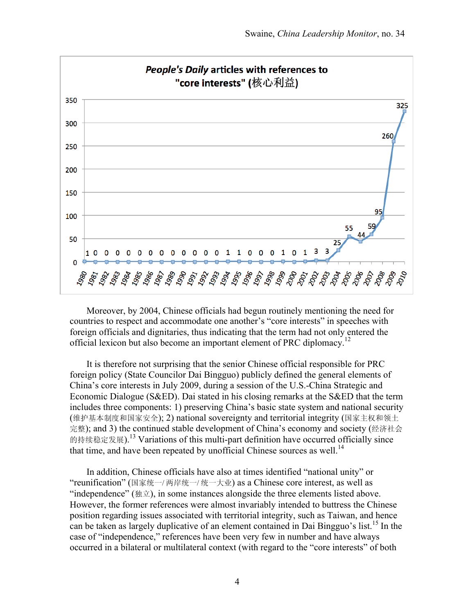

Moreover, by 2004, Chinese officials had begun routinely mentioning the need for countries to respect and accommodate one another's "core interests" in speeches with foreign officials and dignitaries, thus indicating that the term had not only entered the official lexicon but also become an important element of PRC diplomacy.<sup>12</sup>

It is therefore not surprising that the senior Chinese official responsible for PRC foreign policy (State Councilor Dai Bingguo) publicly defined the general elements of China's core interests in July 2009, during a session of the U.S.-China Strategic and Economic Dialogue (S&ED). Dai stated in his closing remarks at the S&ED that the term includes three components: 1) preserving China's basic state system and national security (维护基本制度和国家安全); 2) national sovereignty and territorial integrity (国家主权和领土 完整); and 3) the continued stable development of China's economy and society (经济社会 的持续稳定发展).<sup>13</sup> Variations of this multi-part definition have occurred officially since that time, and have been repeated by unofficial Chinese sources as well.<sup>14</sup>

In addition, Chinese officials have also at times identified "national unity" or "reunification" (国家统一/ 两岸统一/ 统一大业) as a Chinese core interest, as well as "independence" (独立), in some instances alongside the three elements listed above. However, the former references were almost invariably intended to buttress the Chinese position regarding issues associated with territorial integrity, such as Taiwan, and hence can be taken as largely duplicative of an element contained in Dai Bingguo's list.<sup>15</sup> In the case of "independence," references have been very few in number and have always occurred in a bilateral or multilateral context (with regard to the "core interests" of both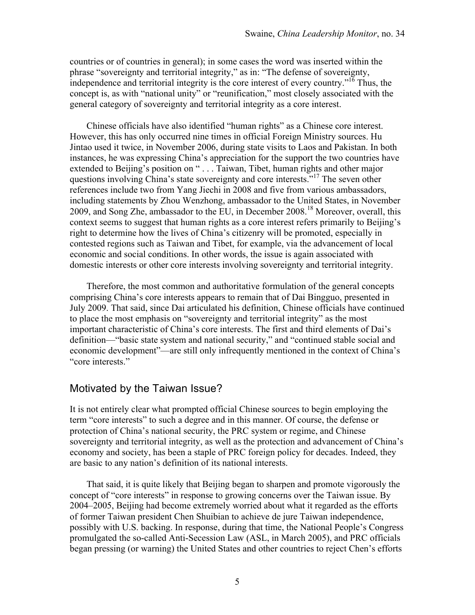countries or of countries in general); in some cases the word was inserted within the phrase "sovereignty and territorial integrity," as in: "The defense of sovereignty, independence and territorial integrity is the core interest of every country."<sup>16</sup> Thus, the concept is, as with "national unity" or "reunification," most closely associated with the general category of sovereignty and territorial integrity as a core interest.

Chinese officials have also identified "human rights" as a Chinese core interest. However, this has only occurred nine times in official Foreign Ministry sources. Hu Jintao used it twice, in November 2006, during state visits to Laos and Pakistan. In both instances, he was expressing China's appreciation for the support the two countries have extended to Beijing's position on " . . . Taiwan, Tibet, human rights and other major questions involving China's state sovereignty and core interests."<sup>17</sup> The seven other references include two from Yang Jiechi in 2008 and five from various ambassadors, including statements by Zhou Wenzhong, ambassador to the United States, in November 2009, and Song Zhe, ambassador to the EU, in December 2008.<sup>18</sup> Moreover, overall, this context seems to suggest that human rights as a core interest refers primarily to Beijing's right to determine how the lives of China's citizenry will be promoted, especially in contested regions such as Taiwan and Tibet, for example, via the advancement of local economic and social conditions. In other words, the issue is again associated with domestic interests or other core interests involving sovereignty and territorial integrity.

Therefore, the most common and authoritative formulation of the general concepts comprising China's core interests appears to remain that of Dai Bingguo, presented in July 2009. That said, since Dai articulated his definition, Chinese officials have continued to place the most emphasis on "sovereignty and territorial integrity" as the most important characteristic of China's core interests. The first and third elements of Dai's definition—"basic state system and national security," and "continued stable social and economic development"—are still only infrequently mentioned in the context of China's "core interests."

## Motivated by the Taiwan Issue?

It is not entirely clear what prompted official Chinese sources to begin employing the term "core interests" to such a degree and in this manner. Of course, the defense or protection of China's national security, the PRC system or regime, and Chinese sovereignty and territorial integrity, as well as the protection and advancement of China's economy and society, has been a staple of PRC foreign policy for decades. Indeed, they are basic to any nation's definition of its national interests.

That said, it is quite likely that Beijing began to sharpen and promote vigorously the concept of "core interests" in response to growing concerns over the Taiwan issue. By 2004–2005, Beijing had become extremely worried about what it regarded as the efforts of former Taiwan president Chen Shuibian to achieve de jure Taiwan independence, possibly with U.S. backing. In response, during that time, the National People's Congress promulgated the so-called Anti-Secession Law (ASL, in March 2005), and PRC officials began pressing (or warning) the United States and other countries to reject Chen's efforts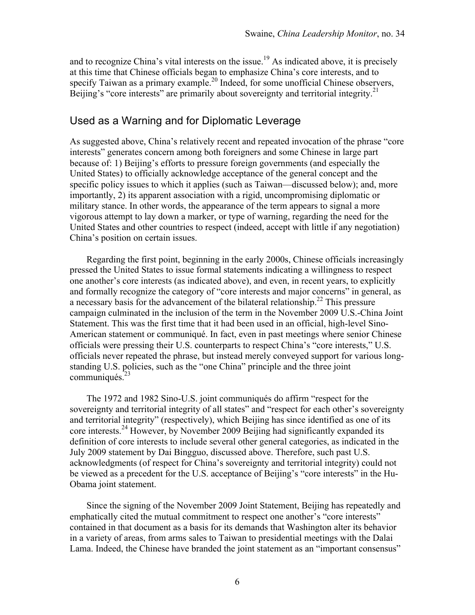and to recognize China's vital interests on the issue.<sup>19</sup> As indicated above, it is precisely at this time that Chinese officials began to emphasize China's core interests, and to specify Taiwan as a primary example.<sup>20</sup> Indeed, for some unofficial Chinese observers, Beijing's "core interests" are primarily about sovereignty and territorial integrity.<sup>21</sup>

## Used as a Warning and for Diplomatic Leverage

As suggested above, China's relatively recent and repeated invocation of the phrase "core interests" generates concern among both foreigners and some Chinese in large part because of: 1) Beijing's efforts to pressure foreign governments (and especially the United States) to officially acknowledge acceptance of the general concept and the specific policy issues to which it applies (such as Taiwan—discussed below); and, more importantly, 2) its apparent association with a rigid, uncompromising diplomatic or military stance. In other words, the appearance of the term appears to signal a more vigorous attempt to lay down a marker, or type of warning, regarding the need for the United States and other countries to respect (indeed, accept with little if any negotiation) China's position on certain issues.

Regarding the first point, beginning in the early 2000s, Chinese officials increasingly pressed the United States to issue formal statements indicating a willingness to respect one another's core interests (as indicated above), and even, in recent years, to explicitly and formally recognize the category of "core interests and major concerns" in general, as a necessary basis for the advancement of the bilateral relationship.<sup>22</sup> This pressure campaign culminated in the inclusion of the term in the November 2009 U.S.-China Joint Statement. This was the first time that it had been used in an official, high-level Sino-American statement or communiqué. In fact, even in past meetings where senior Chinese officials were pressing their U.S. counterparts to respect China's "core interests," U.S. officials never repeated the phrase, but instead merely conveyed support for various longstanding U.S. policies, such as the "one China" principle and the three joint communiqués.<sup>23</sup>

The 1972 and 1982 Sino-U.S. joint communiqués do affirm "respect for the sovereignty and territorial integrity of all states" and "respect for each other's sovereignty and territorial integrity" (respectively), which Beijing has since identified as one of its core interests.<sup>24</sup> However, by November 2009 Beijing had significantly expanded its definition of core interests to include several other general categories, as indicated in the July 2009 statement by Dai Bingguo, discussed above. Therefore, such past U.S. acknowledgments (of respect for China's sovereignty and territorial integrity) could not be viewed as a precedent for the U.S. acceptance of Beijing's "core interests" in the Hu-Obama joint statement.

Since the signing of the November 2009 Joint Statement, Beijing has repeatedly and emphatically cited the mutual commitment to respect one another's "core interests" contained in that document as a basis for its demands that Washington alter its behavior in a variety of areas, from arms sales to Taiwan to presidential meetings with the Dalai Lama. Indeed, the Chinese have branded the joint statement as an "important consensus"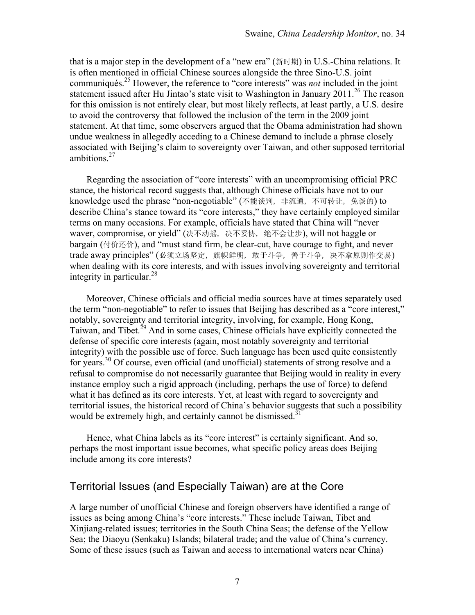that is a major step in the development of a "new era" (新时期) in U.S.-China relations. It is often mentioned in official Chinese sources alongside the three Sino-U.S. joint communiqués.25 However, the reference to "core interests" was *not* included in the joint statement issued after Hu Jintao's state visit to Washington in January 2011.<sup>26</sup> The reason for this omission is not entirely clear, but most likely reflects, at least partly, a U.S. desire to avoid the controversy that followed the inclusion of the term in the 2009 joint statement. At that time, some observers argued that the Obama administration had shown undue weakness in allegedly acceding to a Chinese demand to include a phrase closely associated with Beijing's claim to sovereignty over Taiwan, and other supposed territorial ambitions $27$ 

Regarding the association of "core interests" with an uncompromising official PRC stance, the historical record suggests that, although Chinese officials have not to our knowledge used the phrase "non-negotiable" (不能谈判, 非流通, 不可转让, 免谈的) to describe China's stance toward its "core interests," they have certainly employed similar terms on many occasions. For example, officials have stated that China will "never waver, compromise, or yield" (决不动摇, 决不妥协, 绝不会让步), will not haggle or bargain (付价还价), and "must stand firm, be clear-cut, have courage to fight, and never trade away principles" (必须立场坚定, 旗帜鲜明, 敢于斗争, 善于斗争, 决不拿原则作交易) when dealing with its core interests, and with issues involving sovereignty and territorial integrity in particular. $^{28}$ 

Moreover, Chinese officials and official media sources have at times separately used the term "non-negotiable" to refer to issues that Beijing has described as a "core interest," notably, sovereignty and territorial integrity, involving, for example, Hong Kong, Taiwan, and Tibet.<sup>29</sup> And in some cases. Chinese officials have explicitly connected the defense of specific core interests (again, most notably sovereignty and territorial integrity) with the possible use of force. Such language has been used quite consistently for years.<sup>30</sup> Of course, even official (and unofficial) statements of strong resolve and a refusal to compromise do not necessarily guarantee that Beijing would in reality in every instance employ such a rigid approach (including, perhaps the use of force) to defend what it has defined as its core interests. Yet, at least with regard to sovereignty and territorial issues, the historical record of China's behavior suggests that such a possibility would be extremely high, and certainly cannot be dismissed.<sup>31</sup>

Hence, what China labels as its "core interest" is certainly significant. And so, perhaps the most important issue becomes, what specific policy areas does Beijing include among its core interests?

## Territorial Issues (and Especially Taiwan) are at the Core

A large number of unofficial Chinese and foreign observers have identified a range of issues as being among China's "core interests." These include Taiwan, Tibet and Xinjiang-related issues; territories in the South China Seas; the defense of the Yellow Sea; the Diaoyu (Senkaku) Islands; bilateral trade; and the value of China's currency. Some of these issues (such as Taiwan and access to international waters near China)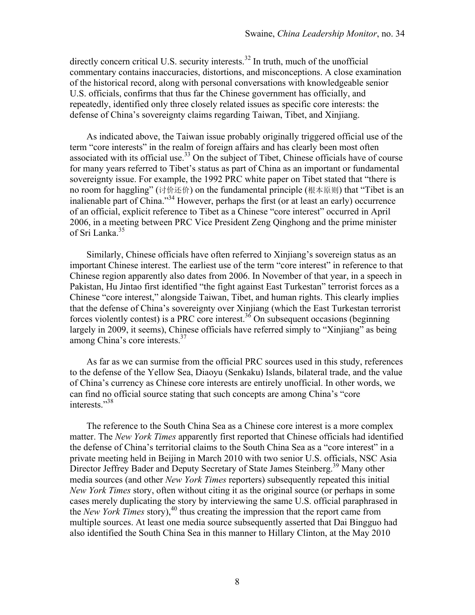directly concern critical U.S. security interests.<sup>32</sup> In truth, much of the unofficial commentary contains inaccuracies, distortions, and misconceptions. A close examination of the historical record, along with personal conversations with knowledgeable senior U.S. officials, confirms that thus far the Chinese government has officially, and repeatedly, identified only three closely related issues as specific core interests: the defense of China's sovereignty claims regarding Taiwan, Tibet, and Xinjiang.

As indicated above, the Taiwan issue probably originally triggered official use of the term "core interests" in the realm of foreign affairs and has clearly been most often associated with its official use.<sup>33</sup> On the subject of Tibet, Chinese officials have of course for many years referred to Tibet's status as part of China as an important or fundamental sovereignty issue. For example, the 1992 PRC white paper on Tibet stated that "there is no room for haggling" (讨价还价) on the fundamental principle (根本原则) that "Tibet is an inalienable part of China."34 However, perhaps the first (or at least an early) occurrence of an official, explicit reference to Tibet as a Chinese "core interest" occurred in April 2006, in a meeting between PRC Vice President Zeng Qinghong and the prime minister of Sri Lanka.<sup>35</sup>

Similarly, Chinese officials have often referred to Xinjiang's sovereign status as an important Chinese interest. The earliest use of the term "core interest" in reference to that Chinese region apparently also dates from 2006. In November of that year, in a speech in Pakistan, Hu Jintao first identified "the fight against East Turkestan" terrorist forces as a Chinese "core interest," alongside Taiwan, Tibet, and human rights. This clearly implies that the defense of China's sovereignty over Xinjiang (which the East Turkestan terrorist forces violently contest) is a PRC core interest.36 On subsequent occasions (beginning largely in 2009, it seems), Chinese officials have referred simply to "Xinjiang" as being among China's core interests.<sup>37</sup>

As far as we can surmise from the official PRC sources used in this study, references to the defense of the Yellow Sea, Diaoyu (Senkaku) Islands, bilateral trade, and the value of China's currency as Chinese core interests are entirely unofficial. In other words, we can find no official source stating that such concepts are among China's "core interests."38

The reference to the South China Sea as a Chinese core interest is a more complex matter. The *New York Times* apparently first reported that Chinese officials had identified the defense of China's territorial claims to the South China Sea as a "core interest" in a private meeting held in Beijing in March 2010 with two senior U.S. officials, NSC Asia Director Jeffrey Bader and Deputy Secretary of State James Steinberg.<sup>39</sup> Many other media sources (and other *New York Times* reporters) subsequently repeated this initial *New York Times* story, often without citing it as the original source (or perhaps in some cases merely duplicating the story by interviewing the same U.S. official paraphrased in the *New York Times* story),<sup>40</sup> thus creating the impression that the report came from multiple sources. At least one media source subsequently asserted that Dai Bingguo had also identified the South China Sea in this manner to Hillary Clinton, at the May 2010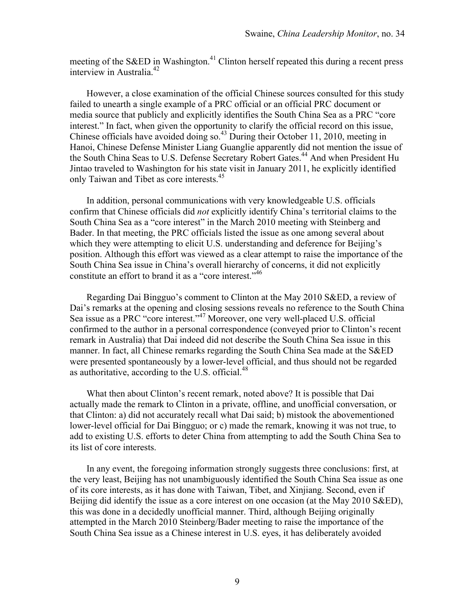meeting of the S&ED in Washington.<sup>41</sup> Clinton herself repeated this during a recent press interview in Australia.<sup>42</sup>

However, a close examination of the official Chinese sources consulted for this study failed to unearth a single example of a PRC official or an official PRC document or media source that publicly and explicitly identifies the South China Sea as a PRC "core interest." In fact, when given the opportunity to clarify the official record on this issue, Chinese officials have avoided doing so.<sup>43</sup> During their October 11, 2010, meeting in Hanoi, Chinese Defense Minister Liang Guanglie apparently did not mention the issue of the South China Seas to U.S. Defense Secretary Robert Gates.<sup>44</sup> And when President Hu Jintao traveled to Washington for his state visit in January 2011, he explicitly identified only Taiwan and Tibet as core interests.<sup>45</sup>

In addition, personal communications with very knowledgeable U.S. officials confirm that Chinese officials did *not* explicitly identify China's territorial claims to the South China Sea as a "core interest" in the March 2010 meeting with Steinberg and Bader. In that meeting, the PRC officials listed the issue as one among several about which they were attempting to elicit U.S. understanding and deference for Beijing's position. Although this effort was viewed as a clear attempt to raise the importance of the South China Sea issue in China's overall hierarchy of concerns, it did not explicitly constitute an effort to brand it as a "core interest."<sup>46</sup>

Regarding Dai Bingguo's comment to Clinton at the May 2010 S&ED, a review of Dai's remarks at the opening and closing sessions reveals no reference to the South China Sea issue as a PRC "core interest."<sup>47</sup> Moreover, one very well-placed U.S. official confirmed to the author in a personal correspondence (conveyed prior to Clinton's recent remark in Australia) that Dai indeed did not describe the South China Sea issue in this manner. In fact, all Chinese remarks regarding the South China Sea made at the S&ED were presented spontaneously by a lower-level official, and thus should not be regarded as authoritative, according to the U.S. official. $48$ 

What then about Clinton's recent remark, noted above? It is possible that Dai actually made the remark to Clinton in a private, offline, and unofficial conversation, or that Clinton: a) did not accurately recall what Dai said; b) mistook the abovementioned lower-level official for Dai Bingguo; or c) made the remark, knowing it was not true, to add to existing U.S. efforts to deter China from attempting to add the South China Sea to its list of core interests.

In any event, the foregoing information strongly suggests three conclusions: first, at the very least, Beijing has not unambiguously identified the South China Sea issue as one of its core interests, as it has done with Taiwan, Tibet, and Xinjiang. Second, even if Beijing did identify the issue as a core interest on one occasion (at the May 2010 S&ED), this was done in a decidedly unofficial manner. Third, although Beijing originally attempted in the March 2010 Steinberg/Bader meeting to raise the importance of the South China Sea issue as a Chinese interest in U.S. eyes, it has deliberately avoided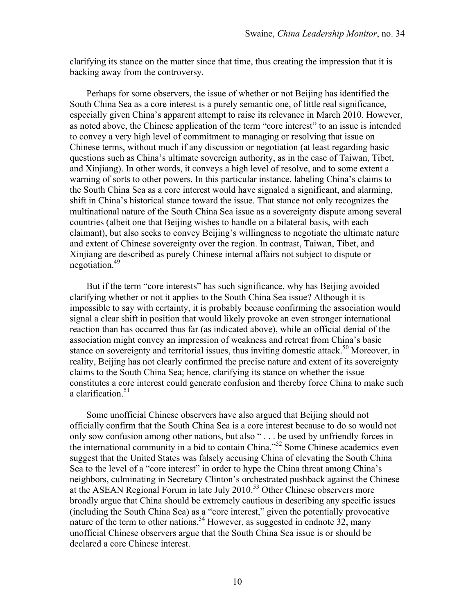clarifying its stance on the matter since that time, thus creating the impression that it is backing away from the controversy.

Perhaps for some observers, the issue of whether or not Beijing has identified the South China Sea as a core interest is a purely semantic one, of little real significance, especially given China's apparent attempt to raise its relevance in March 2010. However, as noted above, the Chinese application of the term "core interest" to an issue is intended to convey a very high level of commitment to managing or resolving that issue on Chinese terms, without much if any discussion or negotiation (at least regarding basic questions such as China's ultimate sovereign authority, as in the case of Taiwan, Tibet, and Xinjiang). In other words, it conveys a high level of resolve, and to some extent a warning of sorts to other powers. In this particular instance, labeling China's claims to the South China Sea as a core interest would have signaled a significant, and alarming, shift in China's historical stance toward the issue. That stance not only recognizes the multinational nature of the South China Sea issue as a sovereignty dispute among several countries (albeit one that Beijing wishes to handle on a bilateral basis, with each claimant), but also seeks to convey Beijing's willingness to negotiate the ultimate nature and extent of Chinese sovereignty over the region. In contrast, Taiwan, Tibet, and Xinjiang are described as purely Chinese internal affairs not subject to dispute or negotiation.<sup>49</sup>

But if the term "core interests" has such significance, why has Beijing avoided clarifying whether or not it applies to the South China Sea issue? Although it is impossible to say with certainty, it is probably because confirming the association would signal a clear shift in position that would likely provoke an even stronger international reaction than has occurred thus far (as indicated above), while an official denial of the association might convey an impression of weakness and retreat from China's basic stance on sovereignty and territorial issues, thus inviting domestic attack.<sup>50</sup> Moreover, in reality, Beijing has not clearly confirmed the precise nature and extent of its sovereignty claims to the South China Sea; hence, clarifying its stance on whether the issue constitutes a core interest could generate confusion and thereby force China to make such a clarification.<sup>51</sup>

Some unofficial Chinese observers have also argued that Beijing should not officially confirm that the South China Sea is a core interest because to do so would not only sow confusion among other nations, but also " . . . be used by unfriendly forces in the international community in a bid to contain China."<sup>52</sup> Some Chinese academics even suggest that the United States was falsely accusing China of elevating the South China Sea to the level of a "core interest" in order to hype the China threat among China's neighbors, culminating in Secretary Clinton's orchestrated pushback against the Chinese at the ASEAN Regional Forum in late July 2010.<sup>53</sup> Other Chinese observers more broadly argue that China should be extremely cautious in describing any specific issues (including the South China Sea) as a "core interest," given the potentially provocative nature of the term to other nations.<sup>54</sup> However, as suggested in endnote  $32$ , many unofficial Chinese observers argue that the South China Sea issue is or should be declared a core Chinese interest.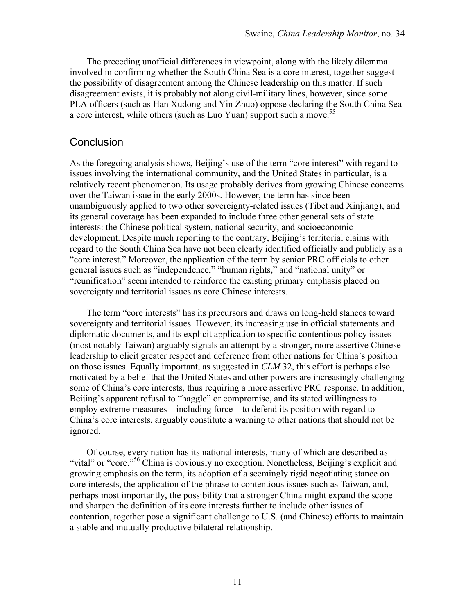The preceding unofficial differences in viewpoint, along with the likely dilemma involved in confirming whether the South China Sea is a core interest, together suggest the possibility of disagreement among the Chinese leadership on this matter. If such disagreement exists, it is probably not along civil-military lines, however, since some PLA officers (such as Han Xudong and Yin Zhuo) oppose declaring the South China Sea a core interest, while others (such as Luo Yuan) support such a move.<sup>55</sup>

#### **Conclusion**

As the foregoing analysis shows, Beijing's use of the term "core interest" with regard to issues involving the international community, and the United States in particular, is a relatively recent phenomenon. Its usage probably derives from growing Chinese concerns over the Taiwan issue in the early 2000s. However, the term has since been unambiguously applied to two other sovereignty-related issues (Tibet and Xinjiang), and its general coverage has been expanded to include three other general sets of state interests: the Chinese political system, national security, and socioeconomic development. Despite much reporting to the contrary, Beijing's territorial claims with regard to the South China Sea have not been clearly identified officially and publicly as a "core interest." Moreover, the application of the term by senior PRC officials to other general issues such as "independence," "human rights," and "national unity" or "reunification" seem intended to reinforce the existing primary emphasis placed on sovereignty and territorial issues as core Chinese interests.

The term "core interests" has its precursors and draws on long-held stances toward sovereignty and territorial issues. However, its increasing use in official statements and diplomatic documents, and its explicit application to specific contentious policy issues (most notably Taiwan) arguably signals an attempt by a stronger, more assertive Chinese leadership to elicit greater respect and deference from other nations for China's position on those issues. Equally important, as suggested in *CLM* 32, this effort is perhaps also motivated by a belief that the United States and other powers are increasingly challenging some of China's core interests, thus requiring a more assertive PRC response. In addition, Beijing's apparent refusal to "haggle" or compromise, and its stated willingness to employ extreme measures—including force—to defend its position with regard to China's core interests, arguably constitute a warning to other nations that should not be ignored.

Of course, every nation has its national interests, many of which are described as "vital" or "core."<sup>56</sup> China is obviously no exception. Nonetheless, Beijing's explicit and growing emphasis on the term, its adoption of a seemingly rigid negotiating stance on core interests, the application of the phrase to contentious issues such as Taiwan, and, perhaps most importantly, the possibility that a stronger China might expand the scope and sharpen the definition of its core interests further to include other issues of contention, together pose a significant challenge to U.S. (and Chinese) efforts to maintain a stable and mutually productive bilateral relationship.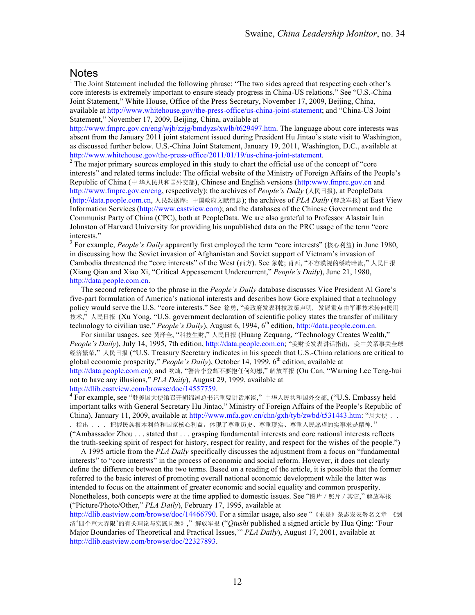#### **Notes**

 $\overline{a}$ 

<sup>1</sup> The Joint Statement included the following phrase: "The two sides agreed that respecting each other's core interests is extremely important to ensure steady progress in China-US relations." See "U.S.-China Joint Statement," White House, Office of the Press Secretary, November 17, 2009, Beijing, China, available at http://www.whitehouse.gov/the-press-office/us-china-joint-statement; and "China-US Joint Statement," November 17, 2009, Beijing, China, available at

http://www.fmprc.gov.cn/eng/wjb/zzjg/bmdyzs/xwlb/t629497.htm. The language about core interests was absent from the January 2011 joint statement issued during President Hu Jintao's state visit to Washington, as discussed further below. U.S.-China Joint Statement, January 19, 2011, Washington, D.C., available at http://www.whitehouse.gov/the-press-office/2011/01/19/us-china-joint-statement.<br><sup>2</sup> The major primary sources employed in this study to chart the official use of the concept of "core"

interests" and related terms include: The official website of the Ministry of Foreign Affairs of the People's Republic of China (中 华人民共和国外交部), Chinese and English versions (http:www.fmprc.gov.cn and http://www.fmprc.gov.cn/eng, respectively); the archives of *People's Daily* (人民日报), at PeopleData (http://data.people.com.cn, 人民数据库:中国政府文献信息); the archives of *PLA Daily* (解放军报) at East View Information Services (http://www.eastview.com); and the databases of the Chinese Government and the Communist Party of China (CPC), both at PeopleData. We are also grateful to Professor Alastair Iain Johnston of Harvard University for providing his unpublished data on the PRC usage of the term "core interests." <sup>3</sup> For example, *People's Daily* apparently first employed the term "core interests" (核心利益) in June 1980,

in discussing how the Soviet invasion of Afghanistan and Soviet support of Vietnam's invasion of Cambodia threatened the "core interests" of the West (西方). See 象乾; 肖西, "不容漠视的绥靖暗流," 人民日报 (Xiang Qian and Xiao Xi, "Critical Appeasement Undercurrent," *People's Daily*), June 21, 1980, http://data.people.com.cn.

The second reference to the phrase in the *People's Daily* database discusses Vice President Al Gore's five-part formulation of America's national interests and describes how Gore explained that a technology policy would serve the U.S. "core interests." See 徐勇, "美政府发表科技政策声明, 发展重点由军事技术转向民用 技术,"人民日报 (Xu Yong, "U.S. government declaration of scientific policy states the transfer of military technology to civilian use," *People's Daily*), August 6, 1994, 6<sup>th</sup> edition, http://data.people.com.cn.

For similar usages, see 黄泽全, "科技生财," 人民日报 (Huang Zequang, "Technology Creates Wealth," *People's Daily*), July 14, 1995, 7th edition, http://data.people.com.cn; "美财长发表讲话指出, 美中关系事关全球 经济繁荣," 人民日报 ("U.S. Treasury Secretary indicates in his speech that U.S.-China relations are critical to global economic prosperity," *People's Daily*), October 14, 1999, 6<sup>th</sup> edition, available at http://data.people.com.cn); and 欧灿, "警告李登辉不要抱任何幻想," 解放军报 (Ou Can, "Warning Lee Teng-hui not to have any illusions," *PLA Daily*), August 29, 1999, available at

http://dlib.eastview.com/browse/doc/14557759.<br><sup>4</sup> For example, see "驻美国大使馆召开胡锦涛总书记重要讲话座谈,"中华人民共和国外交部, ("U.S. Embassy held important talks with General Secretary Hu Jintao," Ministry of Foreign Affairs of the People's Republic of China), January 11, 2009, available at http://www.mfa.gov.cn/chn/gxh/tyb/zwbd/t531443.htm: "周大使 . . 指出 . . . 把握民族根本利益和国家核心利益,体现了尊重历史、尊重现实、尊重人民愿望的实事求是精神." ("Ambassador Zhou . . . stated that . . . grasping fundamental interests and core national interests reflects the truth-seeking spirit of respect for history, respect for reality, and respect for the wishes of the people.")

A 1995 article from the *PLA Daily* specifically discusses the adjustment from a focus on "fundamental interests" to "core interests" in the process of economic and social reform. However, it does not clearly define the difference between the two terms. Based on a reading of the article, it is possible that the former referred to the basic interest of promoting overall national economic development while the latter was intended to focus on the attainment of greater economic and social equality and common prosperity. Nonetheless, both concepts were at the time applied to domestic issues. See "图片/照片/其它," 解放军报 ("Picture/Photo/Other," *PLA Daily*), February 17, 1995, available at

http://dlib.eastview.com/browse/doc/14466790. For a similar usage, also see "《求是》杂志发表署名文章 《划 清'四个重大界限'的有关理论与实践问题》," 解放军报 ("*Qiushi* published a signed article by Hua Qing: 'Four Major Boundaries of Theoretical and Practical Issues,'" *PLA Daily*), August 17, 2001, available at http://dlib.eastview.com/browse/doc/22327893.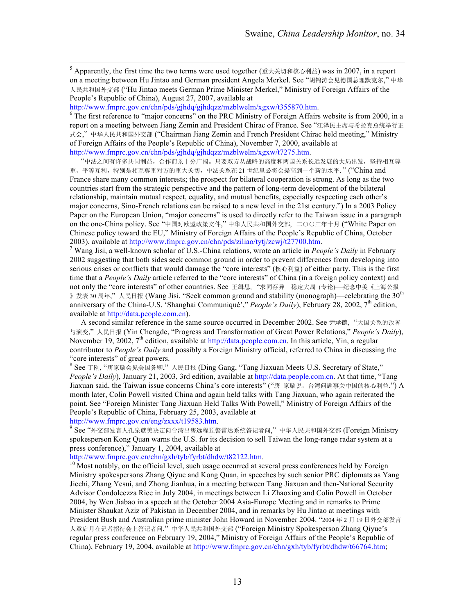$5$  Apparently, the first time the two terms were used together (重大关切和核心利益) was in 2007, in a report on a meeting between Hu Jintao and German president Angela Merkel. See "胡锦涛会见德国总理默克尔," 中华 人民共和国外交部 ("Hu Jintao meets German Prime Minister Merkel," Ministry of Foreign Affairs of the People's Republic of China), August 27, 2007, available at

http://www.fmprc.gov.cn/chn/pds/gjhdq/gjhdqzz/mzblwelm/xgxw/t355870.htm.<br><sup>6</sup> The first reference to "major concerns" on the PRC Ministry of Foreign Affairs website is from 2000, in a report on a meeting between Jiang Zemin and President Chirac of France. See "江泽民主席与希拉克总统举行正 式会," 中华人民共和国外交部 ("Chairman Jiang Zemin and French President Chirac held meeting," Ministry of Foreign Affairs of the People's Republic of China), November 7, 2000, available at http://www.fmprc.gov.cn/chn/pds/gjhdq/gjhdqzz/mzblwelm/xgxw/t7275.htm.

"中法之间有许多共同利益,合作前景十分广阔。只要双方从战略的高度和两国关系长远发展的大局出发,坚持相互尊 重、平等互利, 特别是相互尊重对方的重大关切, 中法关系在 21 世纪里必将会提高到一个新的水平."("China and France share many common interests; the prospect for bilateral cooperation is strong. As long as the two countries start from the strategic perspective and the pattern of long-term development of the bilateral relationship, maintain mutual respect, equality, and mutual benefits, especially respecting each other's major concerns, Sino-French relations can be raised to a new level in the 21st century.") In a 2003 Policy Paper on the European Union, "major concerns" is used to directly refer to the Taiwan issue in a paragraph on the one-China policy. See "中国对欧盟政策文件," 中华人民共和国外交部, 二○○三年十月 ("White Paper on Chinese policy toward the EU," Ministry of Foreign Affairs of the People's Republic of China, October

2003), available at http://www.fmprc.gov.cn/chn/pds/ziliao/tytj/zcwj/t27700.htm. <sup>7</sup> Wang Jisi, a well-known scholar of U.S.-China relations, wrote an article in *People's Daily* in February 2002 suggesting that both sides seek common ground in order to prevent differences from developing into serious crises or conflicts that would damage the "core interests" (核心利益) of either party. This is the first time that a *People's Daily* article referred to the "core interests" of China (in a foreign policy context) and not only the "core interests" of other countries. See 王缉思, "求同存异 稳定大局 (专论)—纪念中美《上海公报 》发表 30 周年,"人民日报 (Wang Jisi, "Seek common ground and stability (monograph)—celebrating the 30<sup>th</sup> anniversary of the China-U.S. 'Shanghai Communiqué'," *People's Daily*), February 28, 2002, 7<sup>th</sup> edition, available at http://data.people.com.cn).

A second similar reference in the same source occurred in December 2002. See 尹承德, "大国关系的改善 与演变," 人民日报 (Yin Chengde, "Progress and Transformation of Great Power Relations," *People's Daily*), November 19, 2002,  $7<sup>th</sup>$  edition, available at http://data.people.com.cn. In this article, Yin, a regular contributor to *People's Daily* and possibly a Foreign Ministry official, referred to China in discussing the "core interests" of great powers.<br><sup>8</sup> See 丁刚, "唐家璇会见美国务卿," 人民日报 (Ding Gang, "Tang Jiaxuan Meets U.S. Secretary of State,"

*People's Daily*), January 21, 2003, 3rd edition, available at http://data.people.com.cn. At that time, "Tang Jiaxuan said, the Taiwan issue concerns China's core interests" ("唐 家璇说, 台湾问题事关中国的核心利益.") A month later, Colin Powell visited China and again held talks with Tang Jiaxuan, who again reiterated the point. See "Foreign Minister Tang Jiaxuan Held Talks With Powell," Ministry of Foreign Affairs of the People's Republic of China, February 25, 2003, available at

http://www.fmprc.gov.cn/eng/zxxx/t19583.htm.<br>9 See "外交部发言人孔泉就美决定向台湾出售远程预警雷达系统答记者问,"中华人民共和国外交部 (Foreign Ministry spokesperson Kong Quan warns the U.S. for its decision to sell Taiwan the long-range radar system at a press conference)," January 1, 2004, available at http://www.fmprc.gov.cn/chn/gxh/tyb/fyrbt/dhdw/t82122.htm.

 $h<sup>10</sup>$  Most notably, on the official level, such usage occurred at several press conferences held by Foreign Ministry spokespersons Zhang Qiyue and Kong Quan, in speeches by such senior PRC diplomats as Yang Jiechi, Zhang Yesui, and Zhong Jianhua, in a meeting between Tang Jiaxuan and then-National Security Advisor Condoleezza Rice in July 2004, in meetings between Li Zhaoxing and Colin Powell in October 2004, by Wen Jiabao in a speech at the October 2004 Asia-Europe Meeting and in remarks to Prime Minister Shaukat Aziz of Pakistan in December 2004, and in remarks by Hu Jintao at meetings with President Bush and Australian prime minister John Howard in November 2004. "2004 年 2 月 19 日外交部发言 人章启月在记者招待会上答记者问," 中华人民共和国外交部 ("Foreign Ministry Spokesperson Zhang Qiyue's regular press conference on February 19, 2004," Ministry of Foreign Affairs of the People's Republic of China), February 19, 2004, available at http://www.fmprc.gov.cn/chn/gxh/tyb/fyrbt/dhdw/t66764.htm;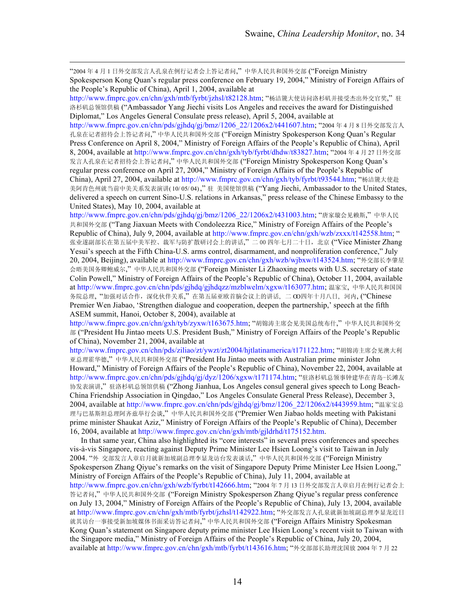"2004 <sup>年</sup> <sup>4</sup> <sup>月</sup> <sup>1</sup> 日外交部发言人孔泉在例行记者会上答记者问," 中华人民共和国外交部 ("Foreign Ministry Spokesperson Kong Quan's regular press conference on February 19, 2004," Ministry of Foreign Affairs of the People's Republic of China), April 1, 2004, available at

http://www.fmprc.gov.cn/chn/gxh/mtb/fyrbt/jzhsl/t82128.htm; "杨洁篪大使访问洛杉矶并接受杰出外交官奖,"驻 洛杉矶总领馆供稿 ("Ambassador Yang Jiechi visits Los Angeles and receives the award for Distinguished Diplomat," Los Angeles General Consulate press release), April 5, 2004, available at

http://www.fmprc.gov.cn/chn/pds/gjhdq/gj/bmz/1206\_22/1206x2/t441607.htm; "2004年4月8日外交部发言人 孔泉在记者招待会上答记者问," 中华人民共和国外交部 ("Foreign Ministry Spokesperson Kong Quan's Regular Press Conference on April 8, 2004," Ministry of Foreign Affairs of the People's Republic of China), April 8, 2004, available at http://www.fmprc.gov.cn/chn/gxh/tyb/fyrbt/dhdw/t83827.htm; "2004 年 4 月 27 日外交部 发言人孔泉在记者招待会上答记者问," 中华人民共和国外交部 ("Foreign Ministry Spokesperson Kong Quan's regular press conference on April 27, 2004," Ministry of Foreign Affairs of the People's Republic of China), April 27, 2004, available at http://www.fmprc.gov.cn/chn/gxh/tyb/fyrbt/t93544.htm; "杨洁篪大使赴 美阿肯色州就当前中美关系发表演讲( 10/ 05/ 04) ," 驻 美国使馆供稿 ("Yang Jiechi, Ambassador to the United States, delivered a speech on current Sino-U.S. relations in Arkansas," press release of the Chinese Embassy to the United States), May 10, 2004, available at

http://www.fmprc.gov.cn/chn/pds/gjhdq/gj/bmz/1206\_22/1206x2/t431003.htm; "唐家璇会见赖斯," 中华人民 共和国外交部 ("Tang Jiaxuan Meets with Condoleezza Rice," Ministry of Foreign Affairs of the People's Republic of China), July 9, 2004, available at http://www.fmprc.gov.cn/chn/gxh/wzb/zxxx/t142558.htm; " 张业遂副部长在第五届中美军控、裁军与防扩散研讨会上的讲话,"二00四年七月二十日,北京 ("Vice Minister Zhang Yesui's speech at the Fifth China-U.S. arms control, disarmament, and nonproliferation conference," July 20, 2004, Beijing), available at http://www.fmprc.gov.cn/chn/gxh/wzb/wjbxw/t143524.htm; "外交部长李肇星 会晤美国务卿鲍威尔," 中华人民共和国外交部 ("Foreign Minister Li Zhaoxing meets with U.S. secretary of state Colin Powell," Ministry of Foreign Affairs of the People's Republic of China), October 11, 2004, available at http://www.fmprc.gov.cn/chn/pds/gjhdq/gjhdqzz/mzblwelm/xgxw/t163077.htm; 温家宝, 中华人民共和国国 务院总理, "加强对话合作,深化伙伴关系," 在第五届亚欧首脑会议上的讲话, 二 OO四年十月八日, 河内, ("Chinese Premier Wen Jiabao, 'Strengthen dialogue and cooperation, deepen the partnership,' speech at the fifth ASEM summit, Hanoi, October 8, 2004), available at

http://www.fmprc.gov.cn/chn/gxh/tyb/zyxw/t163675.htm; "胡锦涛主席会见美国总统布什," 中华人民共和国外交 部 ("President Hu Jintao meets U.S. President Bush," Ministry of Foreign Affairs of the People's Republic of China), November 21, 2004, available at

http://www.fmprc.gov.cn/chn/pds/ziliao/zt/ywzt/zt2004/hjtlatinamerica/t171122.htm; "胡锦涛主席会见澳大利 亚总理霍华德," 中华人民共和国外交部 ("President Hu Jintao meets with Australian prime minister John Howard," Ministry of Foreign Affairs of the People's Republic of China), November 22, 2004, available at http://www.fmprc.gov.cn/chn/pds/gjhdq/gj/dyz/1206/xgxw/t171174.htm; "驻洛杉矶总领事钟建华在青岛-长滩友 协发表演讲," 驻洛杉矶总领馆供稿 ("Zhong Jianhua, Los Angeles consul general gives speech to Long Beach-China Friendship Association in Qingdao," Los Angeles Consulate General Press Release), December 3, 2004, available at http://www.fmprc.gov.cn/chn/pds/gjhdq/gj/bmz/1206\_22/1206x2/t443959.htm; "温家宝总 理与巴基斯坦总理阿齐兹举行会谈," 中华人民共和国外交部 ("Premier Wen Jiabao holds meeting with Pakistani prime minister Shaukat Aziz," Ministry of Foreign Affairs of the People's Republic of China), December 16, 2004, available at http://www.fmprc.gov.cn/chn/gxh/mtb/gjldrhd/t175152.htm.

In that same year, China also highlighted its "core interests" in several press conferences and speeches vis-à-vis Singapore, reacting against Deputy Prime Minister Lee Hsien Loong's visit to Taiwan in July 2004. "外 交部发言人章启月就新加坡副总理李显龙访台发表谈话," 中华人民共和国外交部 ("Foreign Ministry Spokesperson Zhang Qiyue's remarks on the visit of Singapore Deputy Prime Minister Lee Hsien Loong," Ministry of Foreign Affairs of the People's Republic of China), July 11, 2004, available at http://www.fmprc.gov.cn/chn/gxh/wzb/fyrbt/t142666.htm; "2004 年 7 月 13 日外交部发言人章启月在例行记者会上 答记者问," 中华人民共和国外交部 ("Foreign Ministry Spokesperson Zhang Qiyue's regular press conference on July 13, 2004," Ministry of Foreign Affairs of the People's Republic of China), July 13, 2004, available at http://www.fmprc.gov.cn/chn/gxh/mtb/fyrbt/jzhsl/t142922.htm; "外交部发言人孔泉就新加坡副总理李显龙近日 就其访台一事接受新加坡媒体书面采访答记者问," 中华人民共和国外交部 ("Foreign Affairs Ministry Spokesman Kong Quan's statement on Singapore deputy prime minister Lee Hsien Loong's recent visit to Taiwan with the Singapore media," Ministry of Foreign Affairs of the People's Republic of China, July 20, 2004, available at http://www.fmprc.gov.cn/chn/gxh/mtb/fyrbt/t143616.htm; "外交部部长助理沈国放 2004 年 7 月 22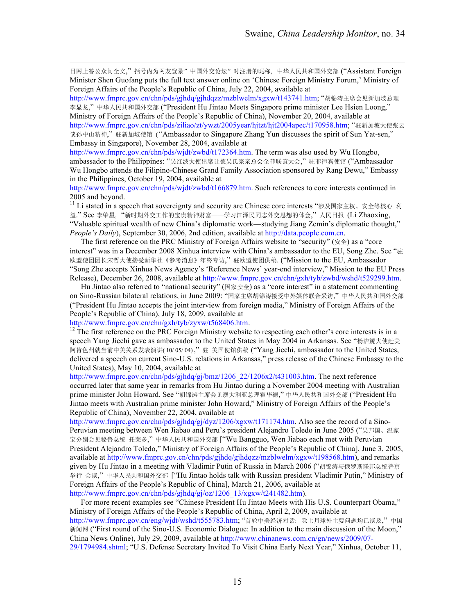日网上答公众问全文," 括号内为网友登录"中国外交论坛"时注册的昵称, 中华人民共和国外交部 ("Assistant Foreign Minister Shen Guofang puts the full text answer online on 'Chinese Foreign Ministry Forum,' Ministry of Foreign Affairs of the People's Republic of China, July 22, 2004, available at

http://www.fmprc.gov.cn/chn/pds/gjhdq/gjhdqzz/mzblwelm/xgxw/t143741.htm; "胡锦涛主席会见新加坡总理 李显龙," 中华人民共和国外交部 ("President Hu Jintao Meets Singapore prime minister Lee Hsien Loong," Ministry of Foreign Affairs of the People's Republic of China), November 20, 2004, available at http://www.fmprc.gov.cn/chn/pds/ziliao/zt/ywzt/2005year/hjtzt/hjt2004apec/t170958.htm; "驻新加坡大使张云 谈孙中山精神," 驻新加坡使馆 ( "Ambassador to Singapore Zhang Yun discusses the spirit of Sun Yat-sen," Embassy in Singapore), November 28, 2004, available at

http://www.fmprc.gov.cn/chn/pds/wjdt/zwbd/t172364.htm. The term was also used by Wu Hongbo, ambassador to the Philippines: "吴红波大使出席让德吴氏宗亲总会全菲联谊大会," 驻菲律宾使馆 ("Ambassador Wu Hongbo attends the Filipino-Chinese Grand Family Association sponsored by Rang Dewu," Embassy in the Philippines, October 19, 2004, available at

http://www.fmprc.gov.cn/chn/pds/wjdt/zwbd/t166879.htm. Such references to core interests continued in 2005 and beyond.

<sup>11</sup> Li stated in a speech that sovereignty and security are Chinese core interests "涉及国家主权、安全等核心 利 益." See 李肇星, "新时期外交工作的宝贵精神财富——学习江泽民同志外交思想的体会," 人民日报 (Li Zhaoxing, "Valuable spiritual wealth of new China's diplomatic work—studying Jiang Zemin's diplomatic thought," *People's Daily*), September 30, 2006, 2nd edition, available at http://data.people.com.cn.

The first reference on the PRC Ministry of Foreign Affairs website to "security" ( $\angle$ ) as a "core interest" was in a December 2008 Xinhua interview with China's ambassador to the EU, Song Zhe. See "驻 欧盟使团团长宋哲大使接受新华社《参考消息》年终专访," 驻欧盟使团供稿. ("Mission to the EU, Ambassador "Song Zhe accepts Xinhua News Agency's 'Reference News' year-end interview," Mission to the EU Press Release), December 26, 2008, available at http://www.fmprc.gov.cn/chn/gxh/tyb/zwbd/wshd/t529299.htm.

Hu Jintao also referred to "national security" (国家安全) as a "core interest" in a statement commenting on Sino-Russian bilateral relations, in June 2009: "国家主席胡锦涛接受中外媒体联合采访," 中华人民共和国外交部 ("President Hu Jintao accepts the joint interview from foreign media," Ministry of Foreign Affairs of the People's Republic of China), July 18, 2009, available at

 $\overline{a}$ 

http://www.fmprc.gov.cn/chn/gxh/tyb/zyxw/t568406.htm.<br><sup>12</sup> The first reference on the PRC Foreign Ministry website to respecting each other's core interests is in a speech Yang Jiechi gave as ambassador to the United States in May 2004 in Arkansas. See "杨洁篪大使赴美 阿肯色州就当前中美关系发表演讲( 10/ 05/ 04) ," 驻 美国使馆供稿 ("Yang Jiechi, ambassador to the United States, delivered a speech on current Sino-U.S. relations in Arkansas," press release of the Chinese Embassy to the United States), May 10, 2004, available at

http://www.fmprc.gov.cn/chn/pds/gjhdq/gj/bmz/1206\_22/1206x2/t431003.htm. The next reference occurred later that same year in remarks from Hu Jintao during a November 2004 meeting with Australian prime minister John Howard. See "胡锦涛主席会见澳大利亚总理霍华德," 中华人民共和国外交部 ("President Hu Jintao meets with Australian prime minister John Howard," Ministry of Foreign Affairs of the People's Republic of China), November 22, 2004, available at

http://www.fmprc.gov.cn/chn/pds/gjhdq/gj/dyz/1206/xgxw/t171174.htm. Also see the record of a Sino-Peruvian meeting between Wen Jiabao and Peru's president Alejandro Toledo in June 2005 ("吴邦国、温家 宝分别会见秘鲁总统 托莱多," 中华人民共和国外交部 ["Wu Bangguo, Wen Jiabao each met with Peruvian President Alejandro Toledo," Ministry of Foreign Affairs of the People's Republic of China], June 3, 2005, available at http://www.fmprc.gov.cn/chn/pds/gjhdq/gjhdqzz/mzblwelm/xgxw/t198568.htm), and remarks given by Hu Jintao in a meeting with Vladimir Putin of Russia in March 2006 ("胡锦涛与俄罗斯联邦总统普京 举行 会谈," 中华人民共和国外交部 ["Hu Jintao holds talk with Russian president Vladimir Putin," Ministry of Foreign Affairs of the People's Republic of China], March 21, 2006, available at http://www.fmprc.gov.cn/chn/pds/gjhdq/gj/oz/1206\_13/xgxw/t241482.htm).

For more recent examples see "Chinese President Hu Jintao Meets with His U.S. Counterpart Obama," Ministry of Foreign Affairs of the People's Republic of China, April 2, 2009, available at http://www.fmprc.gov.cn/eng/wjdt/wshd/t555783.htm; "首轮中美经济对话: 除上月球外主要问题均已谈及," 中国 新闻网 ("First round of the Sino-U.S. Economic Dialogue: In addition to the main discussion of the Moon," China News Online), July 29, 2009, available at http://www.chinanews.com.cn/gn/news/2009/07- 29/1794984.shtml; "U.S. Defense Secretary Invited To Visit China Early Next Year," Xinhua, October 11,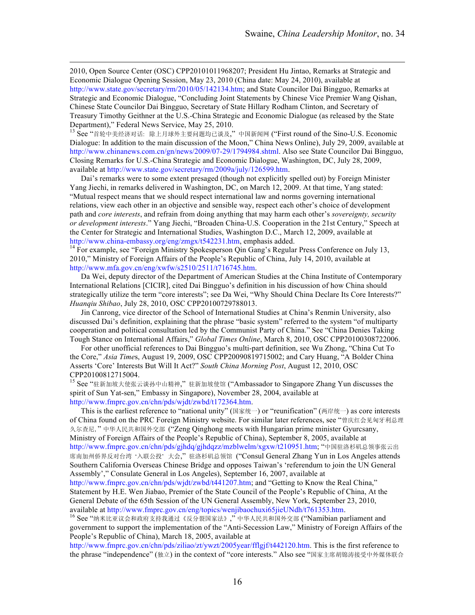2010, Open Source Center (OSC) CPP20101011968207; President Hu Jintao, Remarks at Strategic and Economic Dialogue Opening Session, May 23, 2010 (China date: May 24, 2010), available at http://www.state.gov/secretary/rm/2010/05/142134.htm; and State Councilor Dai Bingguo, Remarks at Strategic and Economic Dialogue, "Concluding Joint Statements by Chinese Vice Premier Wang Qishan, Chinese State Councilor Dai Bingguo, Secretary of State Hillary Rodham Clinton, and Secretary of Treasury Timothy Geithner at the U.S.-China Strategic and Economic Dialogue (as released by the State Department)," Federal News Service, May 25, 2010.<br><sup>13</sup> See "首轮中美经济对话: 除上月球外主要问题均已谈及,"中国新闻网 ("First round of the Sino-U.S. Economic

Dialogue: In addition to the main discussion of the Moon," China News Online), July 29, 2009, available at http://www.chinanews.com.cn/gn/news/2009/07-29/1794984.shtml. Also see State Councilor Dai Bingguo, Closing Remarks for U.S.-China Strategic and Economic Dialogue, Washington, DC, July 28, 2009, available at http://www.state.gov/secretary/rm/2009a/july/126599.htm.

Dai's remarks were to some extent presaged (though not explicitly spelled out) by Foreign Minister Yang Jiechi, in remarks delivered in Washington, DC, on March 12, 2009. At that time, Yang stated: "Mutual respect means that we should respect international law and norms governing international relations, view each other in an objective and sensible way, respect each other's choice of development path and *core interests*, and refrain from doing anything that may harm each other's *sovereignty, security or development interests*." Yang Jiechi, "Broaden China-U.S. Cooperation in the 21st Century," Speech at the Center for Strategic and International Studies, Washington D.C., March 12, 2009, available at

http://www.china-embassy.org/eng/zmgx/t542231.htm, emphasis added.<br><sup>14</sup> For example, see "Foreign Ministry Spokesperson Qin Gang's Regular Press Conference on July 13, 2010," Ministry of Foreign Affairs of the People's Republic of China, July 14, 2010, available at http://www.mfa.gov.cn/eng/xwfw/s2510/2511/t716745.htm.

Da Wei, deputy director of the Department of American Studies at the China Institute of Contemporary International Relations [CICIR], cited Dai Bingguo's definition in his discussion of how China should strategically utilize the term "core interests"; see Da Wei, "Why Should China Declare Its Core Interests?" *Huanqiu Shibao*, July 28, 2010, OSC CPP20100729788013.

Jin Canrong, vice director of the School of International Studies at China's Renmin University, also discussed Dai's definition, explaining that the phrase "basic system" referred to the system "of multiparty cooperation and political consultation led by the Communist Party of China." See "China Denies Taking Tough Stance on International Affairs," *Global Times Online*, March 8, 2010, OSC CPP20100308722006.

For other unofficial references to Dai Bingguo's multi-part definition, see Wu Zhong, "China Cut To the Core," *Asia Time*s, August 19, 2009, OSC CPP20090819715002; and Cary Huang, "A Bolder China Asserts 'Core' Interests But Will It Act?" *South China Morning Post*, August 12, 2010, OSC CPP20100812715004.

<sup>15</sup> See "驻新加坡大使张云谈孙中山精神," 驻新加坡使馆 ("Ambassador to Singapore Zhang Yun discusses the spirit of Sun Yat-sen," Embassy in Singapore), November 28, 2004, available at http://www.fmprc.gov.cn/chn/pds/wjdt/zwbd/t172364.htm.

This is the earliest reference to "national unity" (国家统一) or "reunification" (两岸统一) as core interests of China found on the PRC Foreign Ministry website. For similar later references, see "曾庆红会见匈牙利总理 久尔查尼," 中华人民共和国外交部 ("Zeng Qinghong meets with Hungarian prime minister Gyurcsany, Ministry of Foreign Affairs of the People's Republic of China), September 8, 2005, available at http://www.fmprc.gov.cn/chn/pds/gjhdq/gjhdqzz/mzblwelm/xgxw/t210951.htm; "中国驻洛杉矶总领事张云出 席南加州侨界反对台湾 '入联公投' 大会," 驻洛杉矶总领馆 ("Consul General Zhang Yun in Los Angeles attends Southern California Overseas Chinese Bridge and opposes Taiwan's 'referendum to join the UN General Assembly'," Consulate General in Los Angeles), September 16, 2007, available at http://www.fmprc.gov.cn/chn/pds/wjdt/zwbd/t441207.htm; and "Getting to Know the Real China," Statement by H.E. Wen Jiabao, Premier of the State Council of the People's Republic of China, At the

General Debate of the 65th Session of the UN General Assembly, New York, September 23, 2010, available at http://www.fmprc.gov.cn/eng/topics/wenjibaochuxi65jieUNdh/t761353.htm.<br><sup>16</sup> See "纳米比亚议会和政府支持我通过《反分裂国家法》," 中华人民共和国外交部 ("Namibian parliament and

government to support the implementation of the "Anti-Secession Law," Ministry of Foreign Affairs of the People's Republic of China), March 18, 2005, available at

http://www.fmprc.gov.cn/chn/pds/ziliao/zt/ywzt/2005year/fflgjf/t442120.htm. This is the first reference to the phrase "independence" (独立) in the context of "core interests." Also see "国家主席胡锦涛接受中外媒体联合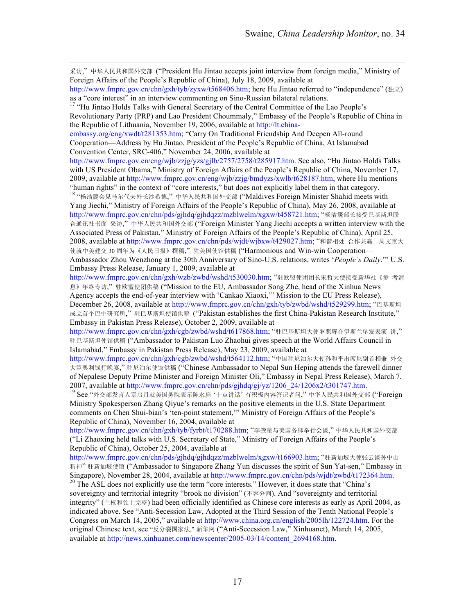采访," 中华人民共和国外交部 ("President Hu Jintao accepts joint interview from foreign media," Ministry of Foreign Affairs of the People's Republic of China), July 18, 2009, available at

Revolutionary Party (PRP) and Lao President Choummaly," Embassy of the People's Republic of China in the Republic of Lithuania, November 19, 2006, available at http://lt.china-

embassy.org/eng/xwdt/t281353.htm; "Carry On Traditional Friendship And Deepen All-round Cooperation—Address by Hu Jintao, President of the People's Republic of China, At Islamabad Convention Center, SRC-406," November 24, 2006, available at

 $\overline{a}$ 

http://www.fmprc.gov.cn/eng/wjb/zzjg/yzs/gjlb/2757/2758/t285917.htm. See also, "Hu Jintao Holds Talks with US President Obama," Ministry of Foreign Affairs of the People's Republic of China, November 17, 2009, available at http://www.fmprc.gov.cn/eng/wjb/zzjg/bmdyzs/xwlb/t628187.htm, where Hu mentions "human rights" in the context of "core interests," but does not explicitly label them in that category.<br><sup>18</sup> "杨洁篪会见马尔代夫外长沙希德," 中华人民共和国外交部 ("Maldives Foreign Minister Shahid meets with

Yang Jiechi," Ministry of Foreign Affairs of the People's Republic of China), May 26, 2008, available at http://www.fmprc.gov.cn/chn/pds/gjhdq/gjhdqzz/mzblwelm/xgxw/t458721.htm; "杨洁篪部长接受巴基斯坦联 合通讯社书面 采访," 中华人民共和国外交部 ("Foreign Minister Yang Jiechi accepts a written interview with the Associated Press of Pakistan," Ministry of Foreign Affairs of the People's Republic of China), April 25, 2008, available at http://www.fmprc.gov.cn/chn/pds/wjdt/wjbxw/t429027.htm; "和谐相处 合作共赢—周文重大 使就中美建交 30 周年为《人民日报》撰稿," 驻美国使馆供稿 ("Harmonious and Win-win Cooperation— Ambassador Zhou Wenzhong at the 30th Anniversary of Sino-U.S. relations, writes '*People's Daily*.'" U.S. Embassy Press Release, January 1, 2009, available at

http://www.fmprc.gov.cn/chn/gxh/wzb/zwbd/wshd/t530030.htm; "驻欧盟使团团长宋哲大使接受新华社《参 考消 息》年终专访," 驻欧盟使团供稿 ("Mission to the EU, Ambassador Song Zhe, head of the Xinhua News Agency accepts the end-of-year interview with 'Cankao Xiaoxi,'" Mission to the EU Press Release), December 26, 2008, available at http://www.fmprc.gov.cn/chn/gxh/tyb/zwbd/wshd/t529299.htm; "巴基斯坦 成立首个巴中研究所," 驻巴基斯坦使馆供稿 ("Pakistan establishes the first China-Pakistan Research Institute," Embassy in Pakistan Press Release), October 2, 2009, available at

http://www.fmprc.gov.cn/chn/gxh/cgb/zwbd/wshd/t617868.htm; "驻巴基斯坦大使罗照辉在伊斯兰堡发表演 讲," 驻巴基斯坦使馆供稿 ("Ambassador to Pakistan Luo Zhaohui gives speech at the World Affairs Council in Islamabad," Embassy in Pakistan Press Release), May 23, 2009, available at

http://www.fmprc.gov.cn/chn/gxh/cgb/zwbd/wshd/t564112.htm; "中国驻尼泊尔大使孙和平出席尼副首相兼 外交 大臣奥利饯行晚宴," 驻尼泊尔使馆供稿 ("Chinese Ambassador to Nepal Sun Heping attends the farewell dinner of Nepalese Deputy Prime Minister and Foreign Minister Oli," Embassy in Nepal Press Release), March 7, 2007, available at http://www.fmprc.gov.cn/chn/pds/gjhdq/gj/yz/1206\_24/1206x2/t301747.htm.

<sup>19</sup> See "外交部发言人章启月就美国务院表示陈水扁 '十点讲话' 有积极内容答记者问," 中华人民共和国外交部 ("Foreign Ministry Spokesperson Zhang Qiyue's remarks on the positive elements in the U.S. State Department comments on Chen Shui-bian's 'ten-point statement,'" Ministry of Foreign Affairs of the People's Republic of China), November 16, 2004, available at

http://www.fmprc.gov.cn/chn/gxh/tyb/fyrbt/t170288.htm; "李肇星与美国务卿举行会谈," 中华人民共和国外交部 ("Li Zhaoxing held talks with U.S. Secretary of State," Ministry of Foreign Affairs of the People's Republic of China), October 25, 2004, available at

http://www.fmprc.gov.cn/chn/pds/gjhdq/gjhdqzz/mzblwelm/xgxw/t166903.htm; "驻新加坡大使张云谈孙中山 精神" 驻新加坡使馆 ("Ambassador to Singapore Zhang Yun discusses the spirit of Sun Yat-sen," Embassy in Singapore), November 28, 2004, available at http://www.fmprc.gov.cn/chn/pds/wjdt/zwbd/t172364.htm. <sup>20</sup> The ASL does not explicitly use the term "core interests." However, it does state that "China's

sovereignty and territorial integrity "brook no division" (不容分割). And "sovereignty and territorial integrity" (主权和领土完整) had been officially identified as Chinese core interests as early as April 2004, as indicated above. See "Anti-Secession Law, Adopted at the Third Session of the Tenth National People's Congress on March 14, 2005," available at http://www.china.org.cn/english/2005lh/122724.htm. For the original Chinese text, see "反分裂国家法," 新华网 ("Anti-Secession Law," Xinhuanet), March 14, 2005, available at http://news.xinhuanet.com/newscenter/2005-03/14/content\_2694168.htm.

http://www.fmprc.gov.cn/chn/gxh/tyb/zyxw/t568406.htm; here Hu Jintao referred to "independence" (独立) as a "core interest" in an interview commenting on Sino-Russian bilateral relations. <sup>17</sup> "Hu Jintao Holds Talks with General Secretary of the Central Committee of the Lao People's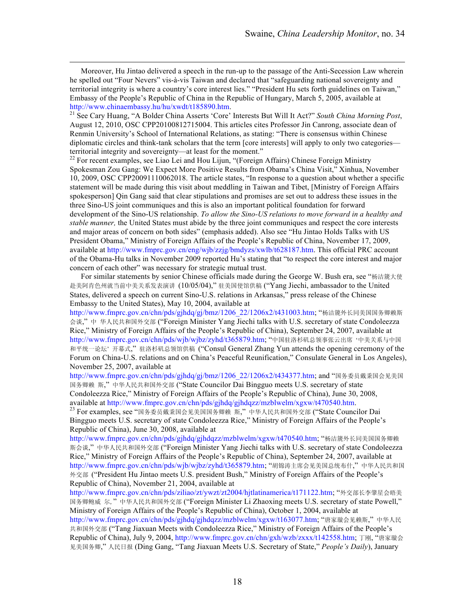Moreover, Hu Jintao delivered a speech in the run-up to the passage of the Anti-Secession Law wherein he spelled out "Four Nevers" vis-à-vis Taiwan and declared that "safeguarding national sovereignty and territorial integrity is where a country's core interest lies." "President Hu sets forth guidelines on Taiwan," Embassy of the People's Republic of China in the Republic of Hungary, March 5, 2005, available at http://www.chinaembassy.hu/hu/xwdt/t185890.htm.<br><sup>21</sup> See Cary Huang, "A Bolder China Asserts 'Core' Interests But Will It Act?" *South China Morning Post*,

August 12, 2010, OSC CPP20100812715004. This articles cites Professor Jin Canrong, associate dean of Renmin University's School of International Relations, as stating: "There is consensus within Chinese diplomatic circles and think-tank scholars that the term [core interests] will apply to only two categories—

territorial integrity and sovereignty—at least for the moment."<br><sup>22</sup> For recent examples, see Liao Lei and Hou Lijun, "(Foreign Affairs) Chinese Foreign Ministry Spokesman Zou Gang: We Expect More Positive Results from Obama's China Visit," Xinhua, November 10, 2009, OSC CPP20091110062018. The article states, "In response to a question about whether a specific statement will be made during this visit about meddling in Taiwan and Tibet, [Ministry of Foreign Affairs spokesperson] Qin Gang said that clear stipulations and promises are set out to address these issues in the three Sino-US joint communiques and this is also an important political foundation for forward development of the Sino-US relationship. *To allow the Sino-US relations to move forward in a healthy and stable manner,* the United States must abide by the three joint communiques and respect the core interests and major areas of concern on both sides" (emphasis added). Also see "Hu Jintao Holds Talks with US President Obama," Ministry of Foreign Affairs of the People's Republic of China, November 17, 2009, available at http://www.fmprc.gov.cn/eng/wjb/zzjg/bmdyzs/xwlb/t628187.htm. This official PRC account of the Obama-Hu talks in November 2009 reported Hu's stating that "to respect the core interest and major concern of each other" was necessary for strategic mutual trust.

For similar statements by senior Chinese officials made during the George W. Bush era, see "杨洁篪大使 赴美阿肯色州就当前中美关系发表演讲 (10/05/04)," 驻美国使馆供稿 ("Yang Jiechi, ambassador to the United States, delivered a speech on current Sino-U.S. relations in Arkansas," press release of the Chinese Embassy to the United States), May 10, 2004, available at

http://www.fmprc.gov.cn/chn/pds/gjhdq/gj/bmz/1206\_22/1206x2/t431003.htm; "杨洁篪外长同美国国务卿赖斯 会谈," 中 华人民共和国外交部 ("Foreign Minister Yang Jiechi talks with U.S. secretary of state Condoleezza Rice," Ministry of Foreign Affairs of the People's Republic of China), September 24, 2007, available at http://www.fmprc.gov.cn/chn/pds/wjb/wjbz/zyhd/t365879.htm; "中国驻洛杉矶总领事张云出席 '中美关系与中国 和平统一论坛' 开幕式," 驻洛杉矶总领馆供稿 ("Consul General Zhang Yun attends the opening ceremony of the Forum on China-U.S. relations and on China's Peaceful Reunification," Consulate General in Los Angeles), November 25, 2007, available at

http://www.fmprc.gov.cn/chn/pds/gjhdq/gj/bmz/1206\_22/1206x2/t434377.htm; and "国务委员戴秉国会见美国 国务卿赖 斯," 中华人民共和国外交部 ("State Councilor Dai Bingguo meets U.S. secretary of state Condoleezza Rice," Ministry of Foreign Affairs of the People's Republic of China), June 30, 2008, available at http://www.fmprc.gov.cn/chn/pds/gjhdq/gjhdqzz/mzblwelm/xgxw/t470540.htm.<br><sup>23</sup> For examples, see "国务委员戴秉国会见美国国务卿赖 斯," 中华人民共和国外交部 ("State Councilor Dai

Bingguo meets U.S. secretary of state Condoleezza Rice," Ministry of Foreign Affairs of the People's Republic of China), June 30, 2008, available at

http://www.fmprc.gov.cn/chn/pds/gjhdq/gjhdqzz/mzblwelm/xgxw/t470540.htm; "杨洁篪外长同美国国务卿赖 斯会谈," 中华人民共和国外交部 ("Foreign Minister Yang Jiechi talks with U.S. secretary of state Condoleezza Rice," Ministry of Foreign Affairs of the People's Republic of China), September 24, 2007, available at http://www.fmprc.gov.cn/chn/pds/wjb/wjbz/zyhd/t365879.htm; "胡锦涛主席会见美国总统布什," 中华人民共和国 外交部 ("President Hu Jintao meets U.S. president Bush," Ministry of Foreign Affairs of the People's Republic of China), November 21, 2004, available at

http://www.fmprc.gov.cn/chn/pds/ziliao/zt/ywzt/zt2004/hjtlatinamerica/t171122.htm; "外交部长李肇星会晤美 国务卿鲍威 尔," 中华人民共和国外交部 ("Foreign Minister Li Zhaoxing meets U.S. secretary of state Powell," Ministry of Foreign Affairs of the People's Republic of China), October 1, 2004, available at http://www.fmprc.gov.cn/chn/pds/gjhdq/gjhdqzz/mzblwelm/xgxw/t163077.htm; "唐家璇会见赖斯,"中华人民

共和国外交部 ("Tang Jiaxuan Meets with Condoleezza Rice," Ministry of Foreign Affairs of the People's Republic of China), July 9, 2004, http://www.fmprc.gov.cn/chn/gxh/wzb/zxxx/t142558.htm; 丁刚, "唐家璇会 见美国务卿," 人民日报 (Ding Gang, "Tang Jiaxuan Meets U.S. Secretary of State," *People's Daily*), January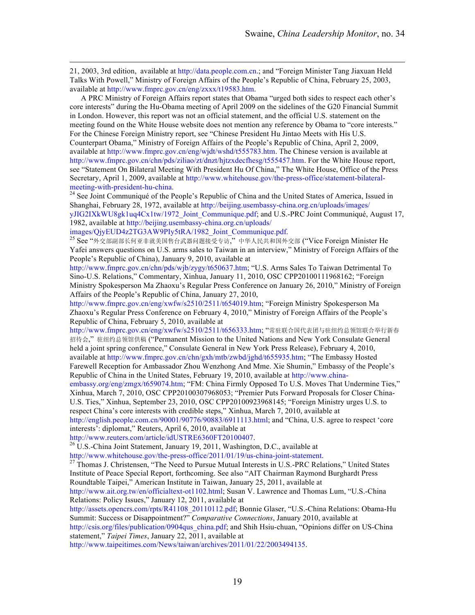21, 2003, 3rd edition, available at http://data.people.com.cn.; and "Foreign Minister Tang Jiaxuan Held Talks With Powell," Ministry of Foreign Affairs of the People's Republic of China, February 25, 2003, available at http://www.fmprc.gov.cn/eng/zxxx/t19583.htm.

A PRC Ministry of Foreign Affairs report states that Obama "urged both sides to respect each other's core interests" during the Hu-Obama meeting of April 2009 on the sidelines of the G20 Financial Summit in London. However, this report was not an official statement, and the official U.S. statement on the meeting found on the White House website does not mention any reference by Obama to "core interests." For the Chinese Foreign Ministry report, see "Chinese President Hu Jintao Meets with His U.S. Counterpart Obama," Ministry of Foreign Affairs of the People's Republic of China, April 2, 2009, available at http://www.fmprc.gov.cn/eng/wjdt/wshd/t555783.htm. The Chinese version is available at http://www.fmprc.gov.cn/chn/pds/ziliao/zt/dnzt/hjtzxdecfhesg/t555457.htm. For the White House report, see "Statement On Bilateral Meeting With President Hu Of China," The White House, Office of the Press Secretary, April 1, 2009, available at http://www.whitehouse.gov/the-press-office/statement-bilateralmeeting-with-president-hu-china.<br><sup>24</sup> See Joint Communiqué of the People's Republic of China and the United States of America, Issued in

Shanghai, February 28, 1972, available at http://beijing.usembassy-china.org.cn/uploads/images/ yJIG2IXkWU8gk1uq4Cx1tw/1972\_Joint\_Communique.pdf; and U.S.-PRC Joint Communiqué, August 17,

1982, available at http://beijing.usembassy-china.org.cn/uploads/

images/QjyEUD4z2TG3AW9PIy5tRA/1982\_Joint\_Communique.pdf.<br><sup>25</sup> See "外交部副部长何亚非就美国售台武器问题接受专访,"中华人民共和国外交部 ("Vice Foreign Minister He Yafei answers questions on U.S. arms sales to Taiwan in an interview," Ministry of Foreign Affairs of the People's Republic of China), January 9, 2010, available at

http://www.fmprc.gov.cn/chn/pds/wjb/zygy/t650637.htm; "U.S. Arms Sales To Taiwan Detrimental To Sino-U.S. Relations," Commentary, Xinhua, January 11, 2010, OSC CPP20100111968162; "Foreign Ministry Spokesperson Ma Zhaoxu's Regular Press Conference on January 26, 2010," Ministry of Foreign Affairs of the People's Republic of China, January 27, 2010,

http://www.fmprc.gov.cn/eng/xwfw/s2510/2511/t654019.htm; "Foreign Ministry Spokesperson Ma Zhaoxu's Regular Press Conference on February 4, 2010," Ministry of Foreign Affairs of the People's Republic of China, February 5, 2010, available at

http://www.fmprc.gov.cn/eng/xwfw/s2510/2511/t656333.htm; "常驻联合国代表团与驻纽约总领馆联合举行新春 招待会," 驻纽约总领馆供稿 ("Permanent Mission to the United Nations and New York Consulate General held a joint spring conference," Consulate General in New York Press Release), February 4, 2010, available at http://www.fmprc.gov.cn/chn/gxh/mtb/zwbd/jghd/t655935.htm; "The Embassy Hosted Farewell Reception for Ambassador Zhou Wenzhong And Mme. Xie Shumin," Embassy of the People's

Republic of China in the United States, February 19, 2010, available at http://www.chinaembassy.org/eng/zmgx/t659074.htm; "FM: China Firmly Opposed To U.S. Moves That Undermine Ties," Xinhua, March 7, 2010, OSC CPP20100307968053; "Premier Puts Forward Proposals for Closer China-U.S. Ties," Xinhua, September 23, 2010, OSC CPP20100923968145; "Foreign Ministry urges U.S. to respect China's core interests with credible steps," Xinhua, March 7, 2010, available at http://english.people.com.cn/90001/90776/90883/6911113.html; and "China, U.S. agree to respect 'core

interests': diplomat," Reuters, April 6, 2010, available at

http://www.reuters.com/article/idUSTRE6360FT20100407.<br><sup>26</sup> U.S.-China Joint Statement, January 19, 2011, Washington, D.C., available at

http://www.whitehouse.gov/the-press-office/2011/01/19/us-china-joint-statement.<br><sup>27</sup> Thomas J. Christensen, "The Need to Pursue Mutual Interests in U.S.-PRC Relations," United States Institute of Peace Special Report, forthcoming. See also "AIT Chairman Raymond Burghardt Press Roundtable Taipei," American Institute in Taiwan, January 25, 2011, available at

http://www.ait.org.tw/en/officialtext-ot1102.html; Susan V. Lawrence and Thomas Lum, "U.S.-China Relations: Policy Issues," January 12, 2011, available at

http://assets.opencrs.com/rpts/R41108\_20110112.pdf; Bonnie Glaser, "U.S.-China Relations: Obama-Hu Summit: Success or Disappointment?" *Comparative Connections*, January 2010, available at http://csis.org/files/publication/0904qus\_china.pdf; and Shih Hsiu-chuan, "Opinions differ on US-China

statement," *Taipei Times*, January 22, 2011, available at

http://www.taipeitimes.com/News/taiwan/archives/2011/01/22/2003494135.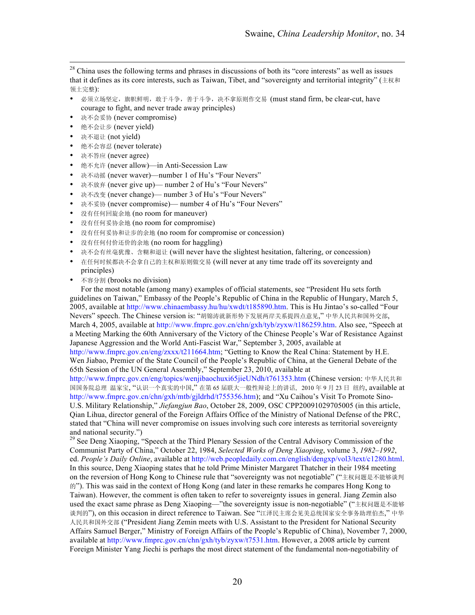<sup>28</sup> China uses the following terms and phrases in discussions of both its "core interests" as well as issues that it defines as its core interests, such as Taiwan, Tibet, and "sovereignty and territorial integrity" (主权和 领土完整):

- 必须立场坚定,旗帜鲜明,敢于斗争,善于斗争,决不拿原则作交易 (must stand firm, be clear-cut, have courage to fight, and never trade away principles)
- 决不会妥协 (never compromise)
- 绝不会让步 (never yield)
- 决不退让 (not yield)
- 绝不会容忍 (never tolerate)
- 決不答应 (never agree)
- 绝不允许 (never allow)—in Anti-Secession Law
- 决不动摇 (never waver)—number 1 of Hu's "Four Nevers"
- 决不放弃 (never give up)— number 2 of Hu's "Four Nevers"
- 决不改变 (never change)— number 3 of Hu's "Four Nevers"
- 决不妥协 (never compromise)— number 4 of Hu's "Four Nevers"
- 没有任何回旋余地 (no room for maneuver)
- 没有任何妥协余地 (no room for compromise)
- 没有任何妥协和让步的余地 (no room for compromise or concession)
- 没有任何付价还价的余地 (no room for haggling)
- 决不会有丝毫犹豫、含糊和退让 (will never have the slightest hesitation, faltering, or concession)
- 在任何时候都决不会拿自己的主权和原则做交易 (will never at any time trade off its sovereignty and principles)
- 不容分割 (brooks no division)

For the most notable (among many) examples of official statements, see "President Hu sets forth guidelines on Taiwan," Embassy of the People's Republic of China in the Republic of Hungary, March 5, 2005, available at http://www.chinaembassy.hu/hu/xwdt/t185890.htm. This is Hu Jintao's so-called "Four Nevers" speech. The Chinese version is: "胡锦涛就新形势下发展两岸关系提四点意见," 中华人民共和国外交部, March 4, 2005, available at http://www.fmprc.gov.cn/chn/gxh/tyb/zyxw/t186259.htm. Also see, "Speech at a Meeting Marking the 60th Anniversary of the Victory of the Chinese People's War of Resistance Against Japanese Aggression and the World Anti-Fascist War," September 3, 2005, available at

http://www.fmprc.gov.cn/eng/zxxx/t211664.htm; "Getting to Know the Real China: Statement by H.E. Wen Jiabao, Premier of the State Council of the People's Republic of China, at the General Debate of the 65th Session of the UN General Assembly," September 23, 2010, available at

http://www.fmprc.gov.cn/eng/topics/wenjibaochuxi65jieUNdh/t761353.htm (Chinese version: 中华人民共和 国国务院总理 温家宝, "认识一个真实的中国," 在第 65 届联大一般性辩论上的讲话, 2010 年 9 月 23 日 纽约, available at http://www.fmprc.gov.cn/chn/gxh/mtb/gjldrhd/t755356.htm); and "Xu Caihou's Visit To Promote Sino-U.S. Military Relationship," *Jiefangjun Bao*, October 28, 2009, OSC CPP20091029705005 (in this article, Qian Lihua, director general of the Foreign Affairs Office of the Ministry of National Defense of the PRC, stated that "China will never compromise on issues involving such core interests as territorial sovereignty and national security.")<br><sup>29</sup> See Deng Xiaoping, "Speech at the Third Plenary Session of the Central Advisory Commission of the

Communist Party of China," October 22, 1984, *Selected Works of Deng Xiaoping*, volume 3, *1982–1992*, ed. *People's Daily Online*, available at http://web.peopledaily.com.cn/english/dengxp/vol3/text/c1280.html. In this source, Deng Xiaoping states that he told Prime Minister Margaret Thatcher in their 1984 meeting on the reversion of Hong Kong to Chinese rule that "sovereignty was not negotiable" ("主权问题是不能够谈判 的"). This was said in the context of Hong Kong (and later in these remarks he compares Hong Kong to Taiwan). However, the comment is often taken to refer to sovereignty issues in general. Jiang Zemin also used the exact same phrase as Deng Xiaoping—"the sovereignty issue is non-negotiable" ("主权问题是不能够 谈判的"), on this occasion in direct reference to Taiwan. See "江泽民主席会见美总统国家安全事务助理伯杰," 中华 人民共和国外交部 ("President Jiang Zemin meets with U.S. Assistant to the President for National Security Affairs Samuel Berger," Ministry of Foreign Affairs of the People's Republic of China), November 7, 2000, available at http://www.fmprc.gov.cn/chn/gxh/tyb/zyxw/t7531.htm. However, a 2008 article by current Foreign Minister Yang Jiechi is perhaps the most direct statement of the fundamental non-negotiability of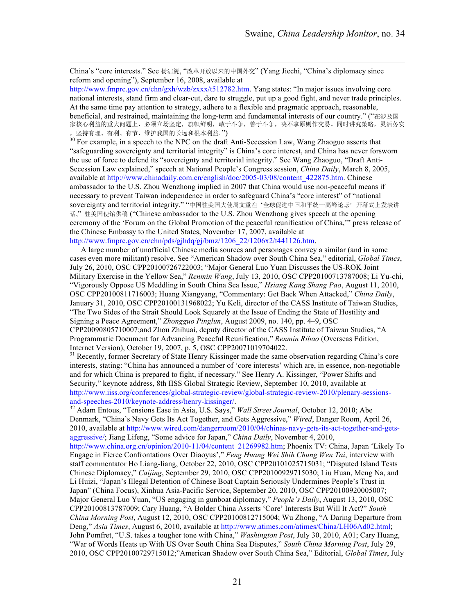China's "core interests." See 杨洁篪, "改革开放以来的中国外交" (Yang Jiechi, "China's diplomacy since reform and opening"), September 16, 2008, available at

http://www.fmprc.gov.cn/chn/gxh/wzb/zxxx/t512782.htm. Yang states: "In major issues involving core national interests, stand firm and clear-cut, dare to struggle, put up a good fight, and never trade principles. At the same time pay attention to strategy, adhere to a flexible and pragmatic approach, reasonable, beneficial, and restrained, maintaining the long-term and fundamental interests of our country." ("在涉及国 家核心利益的重大问题上,必须立场坚定,旗帜鲜明,敢于斗争,善于斗争,决不拿原则作交易。同时讲究策略,灵活务实

, 坚持有理、有利、有节, 维护我国的长远和根本利益. ")<br><sup>30</sup> For example, in a speech to the NPC on the draft Anti-Secession Law, Wang Zhaoguo asserts that "safeguarding sovereignty and territorial integrity" is China's core interest, and China has never forsworn the use of force to defend its "sovereignty and territorial integrity." See Wang Zhaoguo, "Draft Anti-Secession Law explained," speech at National People's Congress session, *China Daily*, March 8, 2005, available at http://www.chinadaily.com.cn/english/doc/2005-03/08/content\_422875.htm. Chinese ambassador to the U.S. Zhou Wenzhong implied in 2007 that China would use non-peaceful means if necessary to prevent Taiwan independence in order to safeguard China's "core interest" of "national sovereignty and territorial integrity." "中国驻美国大使周文重在 '全球促进中国和平统一高峰论坛' 开幕式上发表讲 话," 驻美国使馆供稿 ("Chinese ambassador to the U.S. Zhou Wenzhong gives speech at the opening ceremony of the 'Forum on the Global Promotion of the peaceful reunification of China,'" press release of the Chinese Embassy to the United States, November 17, 2007, available at http://www.fmprc.gov.cn/chn/pds/gjhdq/gj/bmz/1206\_22/1206x2/t441126.htm.

A large number of unofficial Chinese media sources and personages convey a similar (and in some cases even more militant) resolve. See "American Shadow over South China Sea," editorial, *Global Times*, July 26, 2010, OSC CPP20100726722003; "Major General Luo Yuan Discusses the US-ROK Joint Military Exercise in the Yellow Sea," *Renmin Wang*, July 13, 2010, OSC CPP20100713787008; Li Yu-chi, "Vigorously Oppose US Meddling in South China Sea Issue," *Hsiang Kang Shang Pao*, August 11, 2010, OSC CPP20100811716003; Huang Xiangyang, "Commentary: Get Back When Attacked," *China Daily*, January 31, 2010, OSC CPP20100131968022; Yu Keli, director of the CASS Institute of Taiwan Studies, "The Two Sides of the Strait Should Look Squarely at the Issue of Ending the State of Hostility and Signing a Peace Agreement," *Zhongguo Pinglun*, August 2009, no. 140, pp. 4–9, OSC CPP20090805710007;and Zhou Zhihuai, deputy director of the CASS Institute of Taiwan Studies, "A Programmatic Document for Advancing Peaceful Reunification," *Renmin Ribao* (Overseas Edition,

Internet Version), October 19, 2007, p. 5, OSC CPP20071019704022.<br><sup>31</sup> Recently, former Secretary of State Henry Kissinger made the same observation regarding China's core interests, stating: "China has announced a number of 'core interests' which are, in essence, non-negotiable and for which China is prepared to fight, if necessary." See Henry A. Kissinger, "Power Shifts and Security," keynote address, 8th IISS Global Strategic Review, September 10, 2010, available at http://www.iiss.org/conferences/global-strategic-review/global-strategic-review-2010/plenary-sessions-

<sup>32</sup> Adam Entous, "Tensions Ease in Asia, U.S. Says," *Wall Street Journal*, October 12, 2010; Abe Denmark, "China's Navy Gets Its Act Together, and Gets Aggressive," *Wired*, Danger Room, April 26, 2010, available at http://www.wired.com/dangerroom/2010/04/chinas-navy-gets-its-act-together-and-getsaggressive/; Jiang Lifeng, "Some advice for Japan," *China Daily*, November 4, 2010, http://www.china.org.cn/opinion/2010-11/04/content\_21269982.htm; Phoenix TV: China, Japan 'Likely To Engage in Fierce Confrontations Over Diaoyus'," *Feng Huang Wei Shih Chung Wen Tai*, interview with staff commentator Ho Liang-liang, October 22, 2010, OSC CPP20101025715031; "Disputed Island Tests Chinese Diplomacy," *Caijing*, September 29, 2010, OSC CPP20100929715030; Liu Huan, Meng Na, and Li Huizi, "Japan's Illegal Detention of Chinese Boat Captain Seriously Undermines People's Trust in Japan" (China Focus), Xinhua Asia-Pacific Service, September 20, 2010, OSC CPP20100920005007; Major General Luo Yuan, "US engaging in gunboat diplomacy," *People's Daily*, August 13, 2010, OSC CPP20100813787009; Cary Huang, "A Bolder China Asserts 'Core' Interests But Will It Act?" *South China Morning Post*, August 12, 2010, OSC CPP20100812715004; Wu Zhong, "A Daring Departure from Deng," *Asia Times*, August 6, 2010, available at http://www.atimes.com/atimes/China/LH06Ad02.html; John Pomfret, "U.S. takes a tougher tone with China," *Washington Post*, July 30, 2010, A01; Cary Huang, "War of Words Heats up With US Over South China Sea Disputes," *South China Morning Post*, July 29, 2010, OSC CPP20100729715012;"American Shadow over South China Sea," Editorial, *Global Times*, July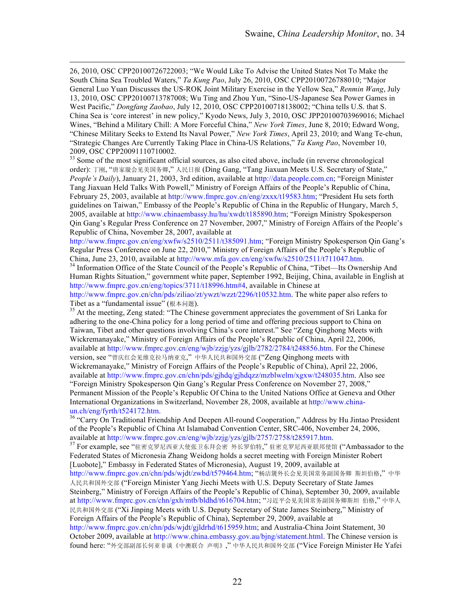26, 2010, OSC CPP20100726722003; "We Would Like To Advise the United States Not To Make the South China Sea Troubled Waters," *Ta Kung Pao*, July 26, 2010, OSC CPP20100726788010; "Major General Luo Yuan Discusses the US-ROK Joint Military Exercise in the Yellow Sea," *Renmin Wang*, July 13, 2010, OSC CPP20100713787008; Wu Ting and Zhou Yun, "Sino-US-Japanese Sea Power Games in West Pacific," *Dongfang Zaobao*, July 12, 2010, OSC CPP20100718138002; "China tells U.S. that S. China Sea is 'core interest' in new policy," Kyodo News, July 3, 2010, OSC JPP20100703969016; Michael Wines, "Behind a Military Chill: A More Forceful China," *New York Times*, June 8, 2010; Edward Wong, "Chinese Military Seeks to Extend Its Naval Power," *New York Times*, April 23, 2010; and Wang Te-chun, "Strategic Changes Are Currently Taking Place in China-US Relations," *Ta Kung Pao*, November 10, 2009, OSC CPP20091110710002.

<sup>33</sup> Some of the most significant official sources, as also cited above, include (in reverse chronological order): 丁刚, "唐家璇会见美国务卿," 人民日报 (Ding Gang, "Tang Jiaxuan Meets U.S. Secretary of State," *People's Daily*), January 21, 2003, 3rd edition, available at http://data.people.com.cn; "Foreign Minister Tang Jiaxuan Held Talks With Powell," Ministry of Foreign Affairs of the People's Republic of China, February 25, 2003, available at http://www.fmprc.gov.cn/eng/zxxx/t19583.htm; "President Hu sets forth guidelines on Taiwan," Embassy of the People's Republic of China in the Republic of Hungary, March 5, 2005, available at http://www.chinaembassy.hu/hu/xwdt/t185890.htm; "Foreign Ministry Spokesperson Qin Gang's Regular Press Conference on 27 November, 2007," Ministry of Foreign Affairs of the People's Republic of China, November 28, 2007, available at

http://www.fmprc.gov.cn/eng/xwfw/s2510/2511/t385091.htm; "Foreign Ministry Spokesperson Qin Gang's Regular Press Conference on June 22, 2010," Ministry of Foreign Affairs of the People's Republic of China, June 23, 2010, available at http://www.mfa.gov.cn/eng/xwfw/s2510/2511/t711047.htm. <sup>34</sup> Information Office of the State Council of the People's Republic of China, "Tibet—Its Ownership And

Human Rights Situation," government white paper, September 1992, Beijing, China, available in English at http://www.fmprc.gov.cn/eng/topics/3711/t18996.htm#4, available in Chinese at http://www.fmprc.gov.cn/chn/pds/ziliao/zt/ywzt/wzzt/2296/t10532.htm. The white paper also refers to

Tibet as a "fundamental issue" (根本问题).<br><sup>35</sup> At the meeting, Zeng stated: "The Chinese government appreciates the government of Sri Lanka for adhering to the one-China policy for a long period of time and offering precious support to China on Taiwan, Tibet and other questions involving China's core interest." See "Zeng Qinghong Meets with Wickremanayake," Ministry of Foreign Affairs of the People's Republic of China, April 22, 2006, available at http://www.fmprc.gov.cn/eng/wjb/zzjg/yzs/gjlb/2782/2784/t248856.htm. For the Chinese version, see "曾庆红会见维克拉马纳亚克," 中华人民共和国外交部 ("Zeng Qinghong meets with Wickremanayake," Ministry of Foreign Affairs of the People's Republic of China), April 22, 2006, available at http://www.fmprc.gov.cn/chn/pds/gjhdq/gjhdqzz/mzblwelm/xgxw/t248035.htm. Also see "Foreign Ministry Spokesperson Qin Gang's Regular Press Conference on November 27, 2008," Permanent Mission of the People's Republic Of China to the United Nations Office at Geneva and Other International Organizations in Switzerland, November 28, 2008, available at http://www.china-

un.ch/eng/fyrth/t524172.htm.<br><sup>36</sup> "Carry On Traditional Friendship And Deepen All-round Cooperation," Address by Hu Jintao President of the People's Republic of China At Islamabad Convention Center, SRC-406, November 24, 2006, available at http://www.fmprc.gov.cn/eng/wjb/zzjg/yzs/gjlb/2757/2758/t285917.htm.

<sup>37</sup> For example, see "驻密克罗尼西亚大使张卫东拜会密 外长罗伯特," 驻密克罗尼西亚联邦使馆 ("Ambassador to the Federated States of Micronesia Zhang Weidong holds a secret meeting with Foreign Minister Robert [Luobote]," Embassy in Federated States of Micronesia), August 19, 2009, available at

http://www.fmprc.gov.cn/chn/pds/wjdt/zwbd/t579464.htm; "杨洁篪外长会见美国常务副国务卿 斯坦伯格," 中华 人民共和国外交部 ("Foreign Minister Yang Jiechi Meets with U.S. Deputy Secretary of State James Steinberg," Ministry of Foreign Affairs of the People's Republic of China), September 30, 2009, available at http://www.fmprc.gov.cn/chn/gxh/mtb/bldhd/t616704.htm; "习近平会见美国常务副国务卿斯坦 伯格," 中华人 民共和国外交部 ("Xi Jinping Meets with U.S. Deputy Secretary of State James Steinberg," Ministry of Foreign Affairs of the People's Republic of China), September 29, 2009, available at

http://www.fmprc.gov.cn/chn/pds/wjdt/gjldrhd/t615959.htm; and Australia-China Joint Statement, 30 October 2009, available at http://www.china.embassy.gov.au/bjng/statement.html. The Chinese version is found here: "外交部副部长何亚非谈《中澳联合 声明》," 中华人民共和国外交部 ("Vice Foreign Minister He Yafei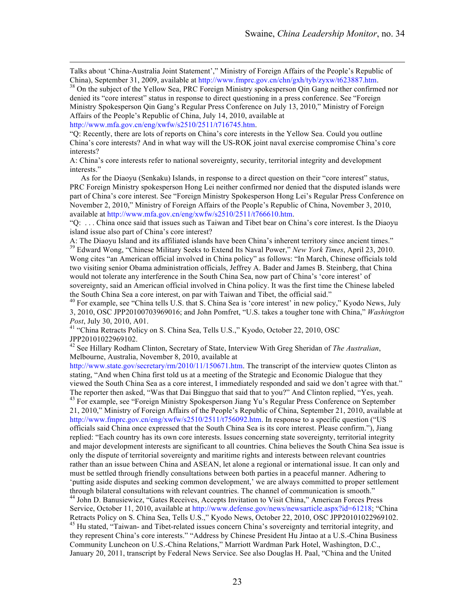Talks about 'China-Australia Joint Statement'," Ministry of Foreign Affairs of the People's Republic of China), September 31, 2009, available at http://www.fmprc.gov.cn/chn/gxh/tyb/zyxw/t623887.htm. <sup>38</sup> On the subject of the Yellow Sea, PRC Foreign Ministry spokesperson Qin Gang neither confirmed nor

denied its "core interest" status in response to direct questioning in a press conference. See "Foreign Ministry Spokesperson Qin Gang's Regular Press Conference on July 13, 2010," Ministry of Foreign Affairs of the People's Republic of China, July 14, 2010, available at

http://www.mfa.gov.cn/eng/xwfw/s2510/2511/t716745.htm.

"Q: Recently, there are lots of reports on China's core interests in the Yellow Sea. Could you outline China's core interests? And in what way will the US-ROK joint naval exercise compromise China's core interests?

A: China's core interests refer to national sovereignty, security, territorial integrity and development interests."

As for the Diaoyu (Senkaku) Islands, in response to a direct question on their "core interest" status, PRC Foreign Ministry spokesperson Hong Lei neither confirmed nor denied that the disputed islands were part of China's core interest. See "Foreign Ministry Spokesperson Hong Lei's Regular Press Conference on November 2, 2010," Ministry of Foreign Affairs of the People's Republic of China, November 3, 2010, available at http://www.mfa.gov.cn/eng/xwfw/s2510/2511/t766610.htm.

"Q: . . . China once said that issues such as Taiwan and Tibet bear on China's core interest. Is the Diaoyu island issue also part of China's core interest?<br>A: The Diaoyu Island and its affiliated islands have been China's inherent territory since ancient times."

<sup>39</sup> Edward Wong, "Chinese Military Seeks to Extend Its Naval Power," *New York Times*, April 23, 2010.

Wong cites "an American official involved in China policy" as follows: "In March, Chinese officials told two visiting senior Obama administration officials, Jeffrey A. Bader and James B. Steinberg, that China would not tolerate any interference in the South China Sea, now part of China's 'core interest' of sovereignty, said an American official involved in China policy. It was the first time the Chinese labeled the South China Sea a core interest, on par with Taiwan and Tibet, the official said."<br><sup>40</sup> For example, see "China tells U.S. that S. China Sea is 'core interest' in new policy," Kyodo News, July

3, 2010, OSC JPP20100703969016; and John Pomfret, "U.S. takes a tougher tone with China," *Washington Post*, July 30, 2010, A01.<br><sup>41</sup> "China Retracts Policy on S. China Sea, Tells U.S.," Kyodo, October 22, 2010, OSC

JPP20101022969102.

<sup>42</sup> See Hillary Rodham Clinton, Secretary of State, Interview With Greg Sheridan of *The Australian*, Melbourne, Australia, November 8, 2010, available at

http://www.state.gov/secretary/rm/2010/11/150671.htm. The transcript of the interview quotes Clinton as stating, "And when China first told us at a meeting of the Strategic and Economic Dialogue that they viewed the South China Sea as a core interest, I immediately responded and said we don't agree with that." The reporter then asked, "Was that Dai Bingguo that said that to you?" And Clinton replied, "Yes, yeah. 43 For example, see "Foreign Ministry Spokesperson Jiang Yu's Regular Press Conference on September 21, 2010," Ministry of Foreign Affairs of the People's Republic of China, September 21, 2010, available at http://www.fmprc.gov.cn/eng/xwfw/s2510/2511/t756092.htm. In response to a specific question ("US officials said China once expressed that the South China Sea is its core interest. Please confirm."), Jiang replied: "Each country has its own core interests. Issues concerning state sovereignty, territorial integrity and major development interests are significant to all countries. China believes the South China Sea issue is only the dispute of territorial sovereignty and maritime rights and interests between relevant countries rather than an issue between China and ASEAN, let alone a regional or international issue. It can only and must be settled through friendly consultations between both parties in a peaceful manner. Adhering to 'putting aside disputes and seeking common development,' we are always committed to proper settlement through bilateral consultations with relevant countries. The channel of communication is smooth." <sup>44</sup> John D. Banusiewicz, "Gates Receives, Accepts Invitation to Visit China," American Forces Press

Service, October 11, 2010, available at http://www.defense.gov/news/newsarticle.aspx?id=61218; "China Retracts Policy on S. China Sea, Tells U.S.," Kyodo News, October 22, 2010, OSC JPP20101022969102.

<sup>45</sup> Hu stated, "Taiwan- and Tibet-related issues concern China's sovereignty and territorial integrity, and they represent China's core interests." "Address by Chinese President Hu Jintao at a U.S.-China Business Community Luncheon on U.S.-China Relations," Marriott Wardman Park Hotel, Washington, D.C., January 20, 2011, transcript by Federal News Service. See also Douglas H. Paal, "China and the United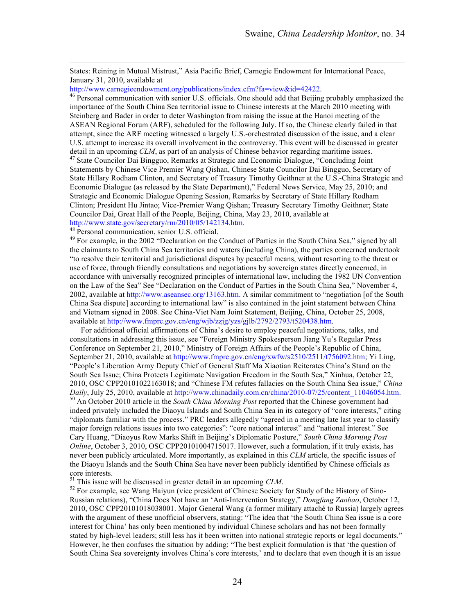States: Reining in Mutual Mistrust," Asia Pacific Brief, Carnegie Endowment for International Peace, January 31, 2010, available at

http://www.carnegieendowment.org/publications/index.cfm?fa=view&id=42422.<br><sup>46</sup> Personal communication with senior U.S. officials. One should add that Beijing probably emphasized the importance of the South China Sea territorial issue to Chinese interests at the March 2010 meeting with Steinberg and Bader in order to deter Washington from raising the issue at the Hanoi meeting of the ASEAN Regional Forum (ARF), scheduled for the following July. If so, the Chinese clearly failed in that attempt, since the ARF meeting witnessed a largely U.S.-orchestrated discussion of the issue, and a clear U.S. attempt to increase its overall involvement in the controversy. This event will be discussed in greater detail in an upcoming *CLM*, as part of an analysis of Chinese behavior regarding maritime issues.<br><sup>47</sup> State Councilor Dai Bingguo, Remarks at Strategic and Economic Dialogue, "Concluding Joint" Statements by Chinese Vice Premier Wang Qishan, Chinese State Councilor Dai Bingguo, Secretary of State Hillary Rodham Clinton, and Secretary of Treasury Timothy Geithner at the U.S.-China Strategic and Economic Dialogue (as released by the State Department)," Federal News Service, May 25, 2010; and Strategic and Economic Dialogue Opening Session, Remarks by Secretary of State Hillary Rodham Clinton; President Hu Jintao; Vice-Premier Wang Qishan; Treasury Secretary Timothy Geithner; State Councilor Dai, Great Hall of the People, Beijing, China, May 23, 2010, available at http://www.state.gov/secretary/rm/2010/05/142134.htm.

<sup>48</sup> Personal communication, senior U.S. official.<br><sup>49</sup> For example, in the 2002 "Declaration on the Conduct of Parties in the South China Sea," signed by all the claimants to South China Sea territories and waters (including China), the parties concerned undertook "to resolve their territorial and jurisdictional disputes by peaceful means, without resorting to the threat or use of force, through friendly consultations and negotiations by sovereign states directly concerned, in accordance with universally recognized principles of international law, including the 1982 UN Convention on the Law of the Sea" See "Declaration on the Conduct of Parties in the South China Sea," November 4, 2002, available at http://www.aseansec.org/13163.htm. A similar commitment to "negotiation [of the South China Sea dispute] according to international law" is also contained in the joint statement between China and Vietnam signed in 2008. See China-Viet Nam Joint Statement, Beijing, China, October 25, 2008, available at http://www.fmprc.gov.cn/eng/wjb/zzjg/yzs/gjlb/2792/2793/t520438.htm.

For additional official affirmations of China's desire to employ peaceful negotiations, talks, and consultations in addressing this issue, see "Foreign Ministry Spokesperson Jiang Yu's Regular Press Conference on September 21, 2010," Ministry of Foreign Affairs of the People's Republic of China, September 21, 2010, available at http://www.fmprc.gov.cn/eng/xwfw/s2510/2511/t756092.htm; Yi Ling, "People's Liberation Army Deputy Chief of General Staff Ma Xiaotian Reiterates China's Stand on the South Sea Issue; China Protects Legitimate Navigation Freedom in the South Sea," Xinhua, October 22, 2010, OSC CPP20101022163018; and "Chinese FM refutes fallacies on the South China Sea issue," *China Daily*, July 25, 2010, available at http://www.chinadaily.com.cn/china/2010-07/25/content\_11046054.htm. <sup>50</sup> An October 2010 article in the *South China Morning Post* reported that the Chinese government had

indeed privately included the Diaoyu Islands and South China Sea in its category of "core interests," citing "diplomats familiar with the process." PRC leaders allegedly "agreed in a meeting late last year to classify major foreign relations issues into two categories": "core national interest" and "national interest." See Cary Huang, "Diaoyus Row Marks Shift in Beijing's Diplomatic Posture," *South China Morning Post Online*, October 3, 2010, OSC CPP20101004715017. However, such a formulation, if it truly exists, has never been publicly articulated. More importantly, as explained in this *CLM* article, the specific issues of the Diaoyu Islands and the South China Sea have never been publicly identified by Chinese officials as core interests.<br><sup>51</sup> This issue will be discussed in greater detail in an upcoming *CLM*.

<sup>52</sup> For example, see Wang Haiyun (vice president of Chinese Society for Study of the History of Sino-Russian relations), "China Does Not have an 'Anti-Intervention Strategy," *Dongfang Zaobao*, October 12, 2010, OSC CPP20101018038001. Major General Wang (a former military attaché to Russia) largely agrees with the argument of these unofficial observers, stating: "The idea that 'the South China Sea issue is a core interest for China' has only been mentioned by individual Chinese scholars and has not been formally stated by high-level leaders; still less has it been written into national strategic reports or legal documents." However, he then confuses the situation by adding: "The best explicit formulation is that 'the question of South China Sea sovereignty involves China's core interests,' and to declare that even though it is an issue